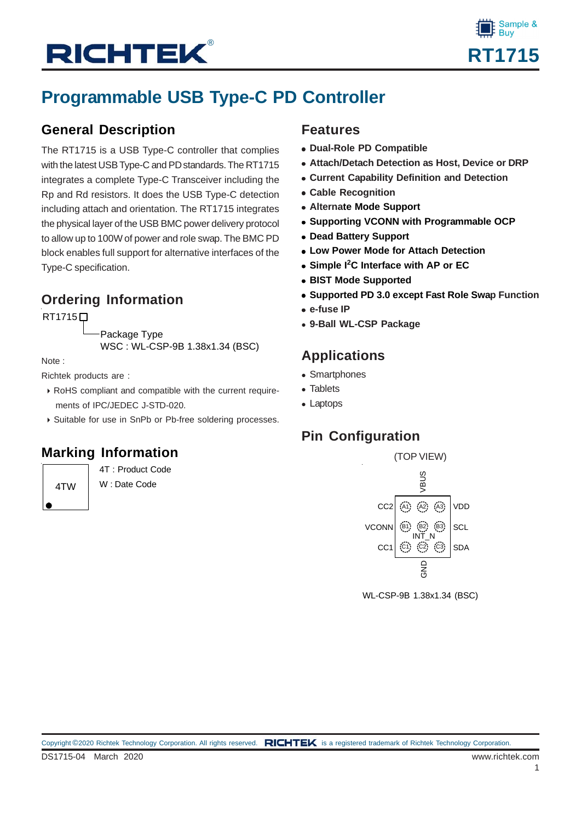# **RICHTEK®**



### **Programmable USB Type-C PD Controller**

### **General Description**

The RT1715 is a USB Type-C controller that complies with the latest USB Type-C and PD standards. The RT1715 integrates a complete Type-C Transceiver including the Rp and Rd resistors. It does the USB Type-C detection including attach and orientation. The RT1715 integrates the physical layer of the USB BMC power delivery protocol to allow up to 100W of power and role swap. The BMC PD block enables full support for alternative interfaces of the Type-C specification.

### **Ordering Information**

**RT1715**□

Package Type WSC : WL-CSP-9B 1.38x1.34 (BSC)

Note :

Richtek products are :

- RoHS compliant and compatible with the current require ments of IPC/JEDEC J-STD-020.
- Suitable for use in SnPb or Pb-free soldering processes.

### **Marking Information**

4TW

4T : Product Code W : Date Code

### **Features**

- **Dual-Role PD Compatible**
- **Attach/Detach Detection as Host, Device or DRP**
- **Current Capability Definition and Detection**
- **Cable Recognition**
- **Alternate Mode Support**
- **Supporting VCONN with Programmable OCP**
- **Dead Battery Support**
- **Low Power Mode for Attach Detection**
- **Simple I<sup>2</sup> C Interface with AP or EC**
- **BIST Mode Supported**
- **Supported PD 3.0 except Fast Role Swap Function**
- **e-fuse IP**
- **9-Ball WL-CSP Package**

### **Applications**

- Smartphones
- Tablets
- Laptops

### **Pin Configuration**



WL-CSP-9B 1.38x1.34 (BSC)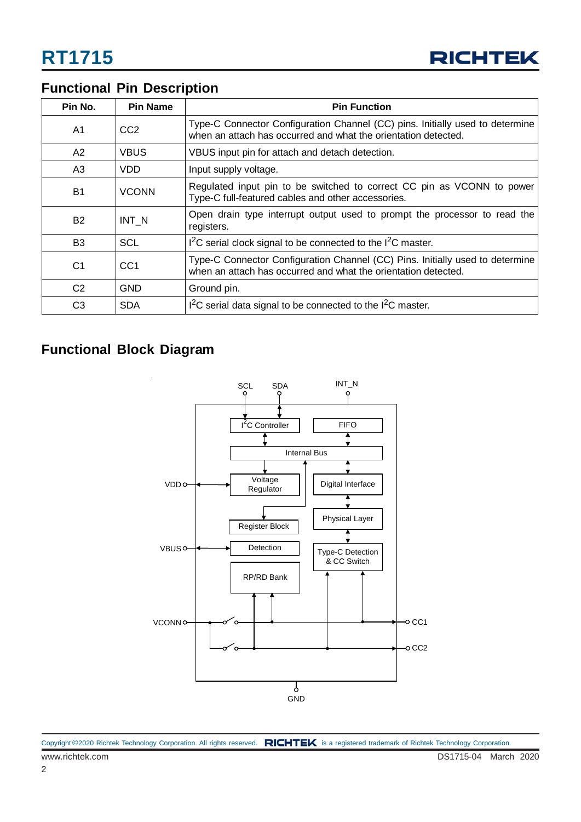

### **Functional Pin Description**

| Pin No.        | <b>Pin Name</b> | <b>Pin Function</b>                                                                                                                             |
|----------------|-----------------|-------------------------------------------------------------------------------------------------------------------------------------------------|
| A <sub>1</sub> | CC <sub>2</sub> | Type-C Connector Configuration Channel (CC) pins. Initially used to determine<br>when an attach has occurred and what the orientation detected. |
| A2             | <b>VBUS</b>     | VBUS input pin for attach and detach detection.                                                                                                 |
| A3             | VDD             | Input supply voltage.                                                                                                                           |
| <b>B1</b>      | <b>VCONN</b>    | Regulated input pin to be switched to correct CC pin as VCONN to power<br>Type-C full-featured cables and other accessories.                    |
| <b>B2</b>      | INT N           | Open drain type interrupt output used to prompt the processor to read the<br>registers.                                                         |
| B <sub>3</sub> | <b>SCL</b>      | $12C$ serial clock signal to be connected to the $12C$ master.                                                                                  |
| C <sub>1</sub> | CC <sub>1</sub> | Type-C Connector Configuration Channel (CC) Pins. Initially used to determine<br>when an attach has occurred and what the orientation detected. |
| C <sub>2</sub> | <b>GND</b>      | Ground pin.                                                                                                                                     |
| C <sub>3</sub> | <b>SDA</b>      | $12C$ serial data signal to be connected to the $12C$ master.                                                                                   |

### **Functional Block Diagram**



| Copyright ©2020 Richtek Technology Corporation. All rights reserved. RICHTEK is a registered trademark of Richtek Technology Corporation. |  |
|-------------------------------------------------------------------------------------------------------------------------------------------|--|
|                                                                                                                                           |  |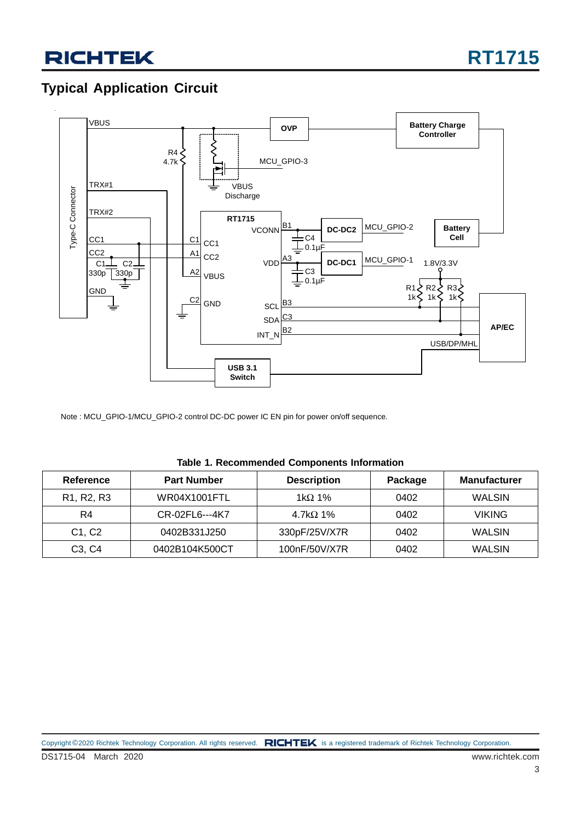### **Typical Application Circuit**



Note : MCU\_GPIO-1/MCU\_GPIO-2 control DC-DC power IC EN pin for power on/off sequence.

| Reference                                        | <b>Part Number</b> | <b>Description</b> | Package | <b>Manufacturer</b> |
|--------------------------------------------------|--------------------|--------------------|---------|---------------------|
| R <sub>1</sub> , R <sub>2</sub> , R <sub>3</sub> | WR04X1001FTL       | 1k $\Omega$ 1%     | 0402    | <b>WALSIN</b>       |
| R4                                               | CR-02FL6---4K7     | 4.7k $\Omega$ 1%   | 0402    | <b>VIKING</b>       |
| C1, C2                                           | 0402B331J250       | 330pF/25V/X7R      | 0402    | <b>WALSIN</b>       |
| C <sub>3</sub> , C <sub>4</sub>                  | 0402B104K500CT     | 100nF/50V/X7R      | 0402    | <b>WALSIN</b>       |

**Table 1. Recommended Components Information**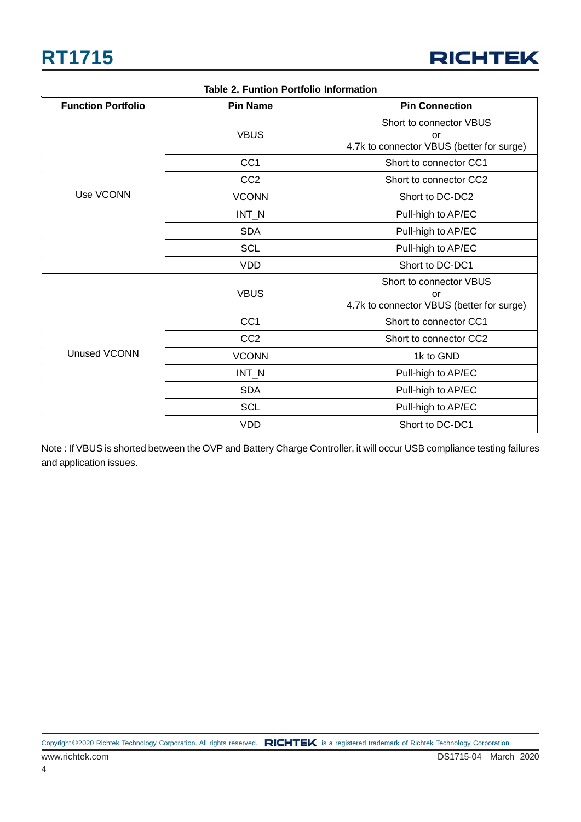

| <b>Function Portfolio</b> | <b>Pin Name</b> | <b>Pin Connection</b>                                                      |  |  |
|---------------------------|-----------------|----------------------------------------------------------------------------|--|--|
|                           | <b>VBUS</b>     | Short to connector VBUS<br>or<br>4.7k to connector VBUS (better for surge) |  |  |
|                           | CC <sub>1</sub> | Short to connector CC1                                                     |  |  |
|                           | CC <sub>2</sub> | Short to connector CC2                                                     |  |  |
| Use VCONN                 | <b>VCONN</b>    | Short to DC-DC2                                                            |  |  |
|                           | $INT_N$         | Pull-high to AP/EC                                                         |  |  |
|                           | <b>SDA</b>      | Pull-high to AP/EC                                                         |  |  |
|                           | <b>SCL</b>      | Pull-high to AP/EC                                                         |  |  |
|                           | <b>VDD</b>      | Short to DC-DC1                                                            |  |  |
|                           | <b>VBUS</b>     | Short to connector VBUS<br>or<br>4.7k to connector VBUS (better for surge) |  |  |
|                           | CC <sub>1</sub> | Short to connector CC1                                                     |  |  |
|                           | CC <sub>2</sub> | Short to connector CC2                                                     |  |  |
| <b>Unused VCONN</b>       | <b>VCONN</b>    | 1k to GND                                                                  |  |  |
|                           | $INT_N$         | Pull-high to AP/EC                                                         |  |  |
|                           | <b>SDA</b>      | Pull-high to AP/EC                                                         |  |  |
|                           | <b>SCL</b>      | Pull-high to AP/EC                                                         |  |  |
|                           | <b>VDD</b>      | Short to DC-DC1                                                            |  |  |

#### **Table 2. Funtion Portfolio Information**

Note : If VBUS is shorted between the OVP and Battery Charge Controller, it will occur USB compliance testing failures and application issues.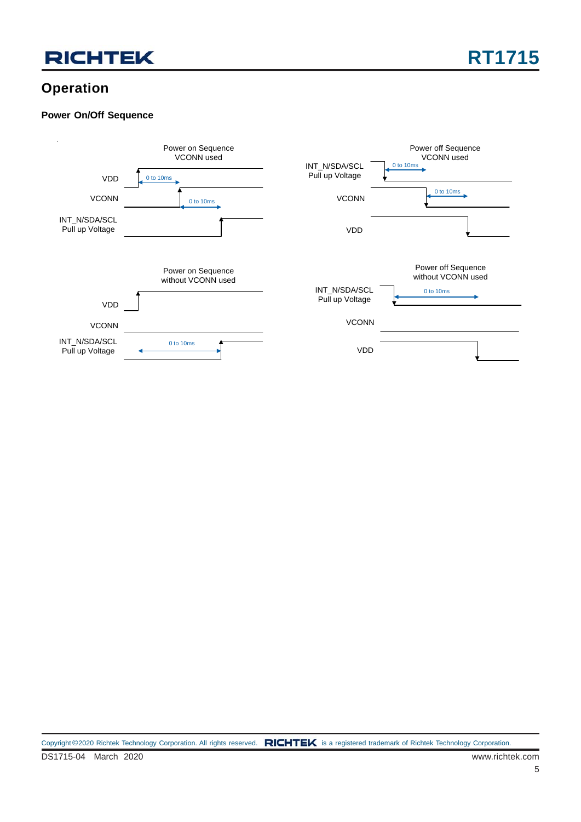### **Operation**

#### **Power On/Off Sequence**

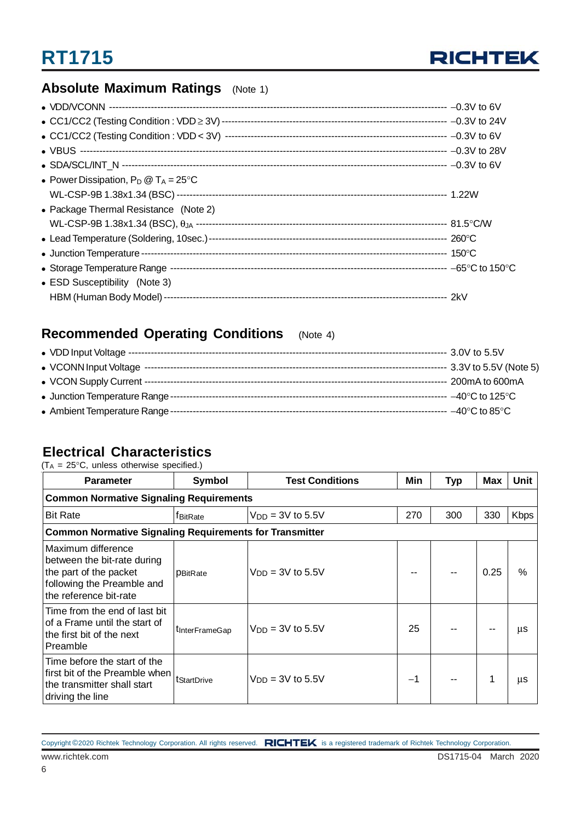

### **Absolute Maximum Ratings** (Note 1)

| • Power Dissipation, $P_D @ T_A = 25^{\circ}C$ |  |
|------------------------------------------------|--|
|                                                |  |
| • Package Thermal Resistance (Note 2)          |  |
|                                                |  |
|                                                |  |
|                                                |  |
|                                                |  |
| • ESD Susceptibility (Note 3)                  |  |
| HBM (Human Body Model) --                      |  |

### **Recommended Operating Conditions** (Note 4)

### **Electrical Characteristics**

 $(T_A = 25^{\circ}C$ , unless otherwise specified.)

| <b>Parameter</b>                                                                                                                    | <b>Symbol</b>          | <b>Test Conditions</b> | Min  | <b>Typ</b> | Max  | <b>Unit</b> |  |  |  |
|-------------------------------------------------------------------------------------------------------------------------------------|------------------------|------------------------|------|------------|------|-------------|--|--|--|
| <b>Common Normative Signaling Requirements</b>                                                                                      |                        |                        |      |            |      |             |  |  |  |
| <b>Bit Rate</b>                                                                                                                     | <b>f</b> BitRate       | $V_{DD} = 3V$ to 5.5V  | 270  | 300        | 330  | <b>Kbps</b> |  |  |  |
| <b>Common Normative Signaling Requirements for Transmitter</b>                                                                      |                        |                        |      |            |      |             |  |  |  |
| Maximum difference<br>between the bit-rate during<br>the part of the packet<br>following the Preamble and<br>the reference bit-rate | <b>PBitRate</b>        | $V_{DD} = 3V$ to 5.5V  |      |            | 0.25 | $\%$        |  |  |  |
| Time from the end of last bit<br>of a Frame until the start of<br>the first bit of the next<br>Preamble                             | <b>t</b> InterFrameGap | $V_{DD} = 3V$ to 5.5V  | 25   |            |      | μs          |  |  |  |
| Time before the start of the<br>first bit of the Preamble when<br>the transmitter shall start<br>driving the line                   | tStartDrive            | $V_{DD} = 3V$ to 5.5V  | $-1$ |            | 1    | μs          |  |  |  |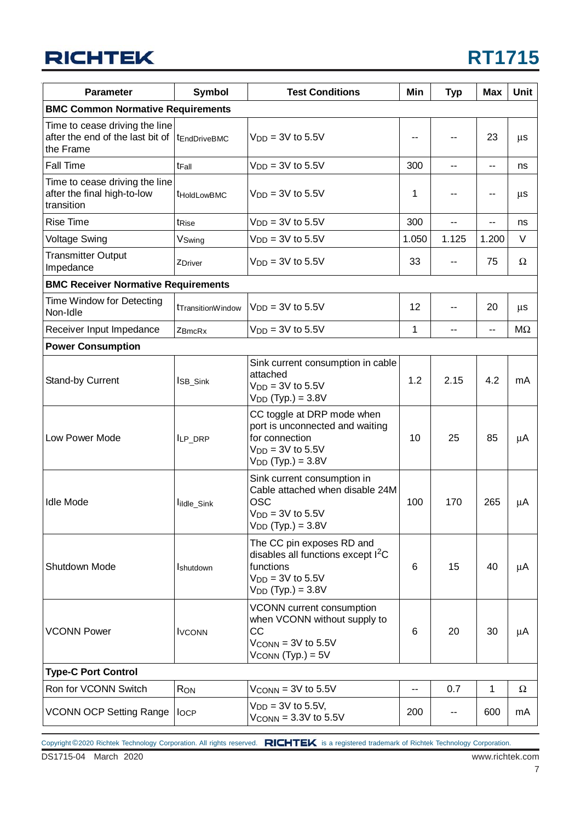### **RICHTEK**

## **RT1715**

| <b>Parameter</b>                                                                              | <b>Symbol</b>                  | <b>Test Conditions</b>                                                                                                          | Min   | <b>Typ</b> | <b>Max</b>               | <b>Unit</b> |
|-----------------------------------------------------------------------------------------------|--------------------------------|---------------------------------------------------------------------------------------------------------------------------------|-------|------------|--------------------------|-------------|
| <b>BMC Common Normative Requirements</b>                                                      |                                |                                                                                                                                 |       |            |                          |             |
| Time to cease driving the line<br>after the end of the last bit of  tEndDriveBMC<br>the Frame |                                | $VDD = 3V$ to 5.5V                                                                                                              |       |            | 23                       | μs          |
| <b>Fall Time</b>                                                                              | t <sub>Fall</sub>              | $V_{DD} = 3V$ to 5.5V                                                                                                           | 300   | --         | н.                       | ns          |
| Time to cease driving the line<br>after the final high-to-low<br>transition                   | <b>tHoldLowBMC</b>             | $V_{DD} = 3V$ to 5.5V                                                                                                           | 1     |            | $\overline{\phantom{a}}$ | μs          |
| <b>Rise Time</b>                                                                              | t <sub>Rise</sub>              | $VDD = 3V$ to 5.5V                                                                                                              | 300   |            | --                       | ns          |
| <b>Voltage Swing</b>                                                                          | VSwing                         | $V_{DD} = 3V$ to 5.5V                                                                                                           | 1.050 | 1.125      | 1.200                    | V           |
| <b>Transmitter Output</b><br>Impedance                                                        | ZDriver                        | $V_{DD} = 3V$ to 5.5V                                                                                                           | 33    |            | 75                       | Ω           |
| <b>BMC Receiver Normative Requirements</b>                                                    |                                |                                                                                                                                 |       |            |                          |             |
| Time Window for Detecting<br>Non-Idle                                                         | t <sub>Transition</sub> Window | $VDD = 3V$ to 5.5V                                                                                                              | 12    | --         | 20                       | μs          |
| Receiver Input Impedance                                                                      | ZBmcRx                         | $VDD = 3V$ to 5.5V                                                                                                              | 1     | --         | $\overline{a}$           | $M\Omega$   |
| <b>Power Consumption</b>                                                                      |                                |                                                                                                                                 |       |            |                          |             |
| Stand-by Current                                                                              | ISB_Sink                       | Sink current consumption in cable<br>attached<br>$V_{DD} = 3V$ to 5.5V<br>$V_{DD}$ (Typ.) = 3.8V                                | 1.2   | 2.15       | 4.2                      | mA          |
| Low Power Mode                                                                                | ILP_DRP                        | CC toggle at DRP mode when<br>port is unconnected and waiting<br>for connection<br>$VDD = 3V$ to 5.5V<br>$V_{DD}$ (Typ.) = 3.8V | 10    | 25         | 85                       | μA          |
| <b>Idle Mode</b>                                                                              | lildle_Sink                    | Sink current consumption in<br>Cable attached when disable 24M<br><b>OSC</b><br>$VDD = 3V$ to 5.5V<br>$V_{DD}$ (Typ.) = 3.8V    | 100   | 170        | 265                      | μA          |
| Shutdown Mode                                                                                 | <b>I</b> shutdown              | The CC pin exposes RD and<br>disables all functions except $I^2C$<br>functions<br>$VDD = 3V$ to 5.5V<br>$V_{DD}$ (Typ.) = 3.8V  | 6     | 15         | 40                       | μA          |
| <b>VCONN Power</b>                                                                            | <b>I</b> VCONN                 | VCONN current consumption<br>when VCONN without supply to<br>CC<br>$V_{\text{CONN}} = 3V$ to 5.5V<br>$V_{CONN}$ (Typ.) = $5V$   | 6     | 20         | 30                       | μA          |
| <b>Type-C Port Control</b>                                                                    |                                |                                                                                                                                 |       |            |                          |             |
| Ron for VCONN Switch                                                                          | <b>RON</b>                     | $V_{\text{CONN}} = 3V$ to 5.5V                                                                                                  | --    | 0.7        | $\mathbf{1}$             | Ω           |
| VCONN OCP Setting Range   locp                                                                |                                | $V_{DD} = 3V$ to 5.5V,<br>$V_{\text{CONN}} = 3.3V$ to 5.5V                                                                      | 200   | --         | 600                      | mA          |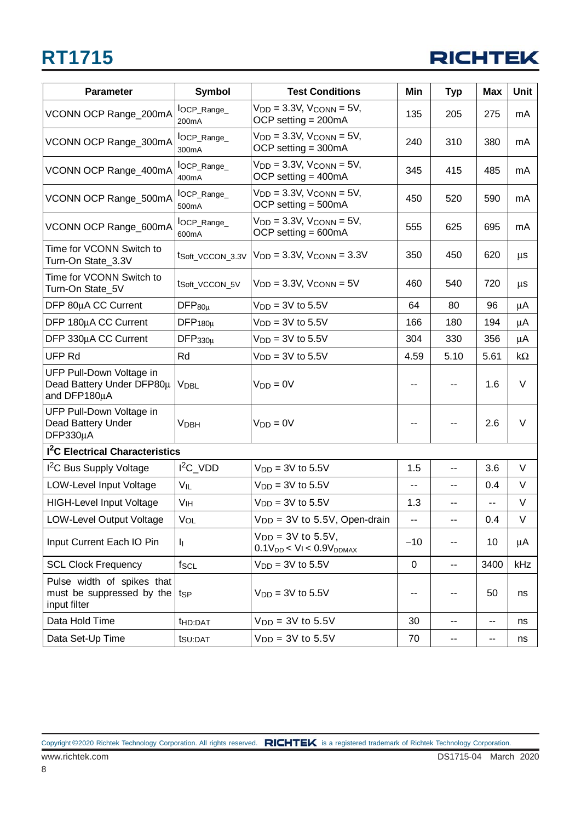

| <b>Parameter</b>                                                        | Symbol                            | <b>Test Conditions</b>                                               | Min          | <b>Typ</b>                  | <b>Max</b> | Unit      |
|-------------------------------------------------------------------------|-----------------------------------|----------------------------------------------------------------------|--------------|-----------------------------|------------|-----------|
| VCONN OCP Range_200mA                                                   | lOCP_Range_<br>200mA              | $V_{DD} = 3.3V$ , $V_{CONN} = 5V$ ,<br>OCP setting $= 200 \text{mA}$ | 135          | 205                         | 275        | mA        |
| VCONN OCP Range_300mA                                                   | lOCP_Range_<br>300 <sub>m</sub> A | $V_{DD} = 3.3V$ , $V_{CONN} = 5V$ ,<br>OCP setting $=$ 300mA         | 240          | 310                         | 380        | mA        |
| VCONN OCP Range_400mA                                                   | $locP_Range$<br>400mA             | $V_{DD} = 3.3V$ , $V_{CONN} = 5V$ ,<br>OCP setting $=$ 400mA         | 345          | 415                         | 485        | mA        |
| VCONN OCP Range_500mA                                                   | $locP_Range$<br>500mA             | $V_{DD} = 3.3V$ , $V_{CONN} = 5V$ ,<br>OCP setting $=$ 500mA         | 450          | 520                         | 590        | mA        |
| VCONN OCP Range_600mA                                                   | l <sub>OCP_Range_</sub><br>600mA  | $V_{DD} = 3.3V$ , $V_{CONN} = 5V$ ,<br>OCP setting = 600mA           | 555          | 625                         | 695        | mA        |
| Time for VCONN Switch to<br>Turn-On State_3.3V                          | tSoft_VCCON_3.3V                  | $VDD = 3.3V$ , $VCONN = 3.3V$                                        | 350          | 450                         | 620        | $\mu$ s   |
| Time for VCONN Switch to<br>Turn-On State_5V                            | tSoft_VCCON_5V                    | $V_{DD} = 3.3V$ , $V_{CONN} = 5V$                                    | 460          | 540                         | 720        | $\mu$ s   |
| DFP 80µA CC Current                                                     | $DFP_{80\mu}$                     | $V_{DD} = 3V$ to 5.5V                                                | 64           | 80                          | 96         | μA        |
| DFP 180µA CC Current                                                    | $DFP_{180\mu}$                    | $V_{DD} = 3V$ to 5.5V                                                | 166          | 180                         | 194        | μA        |
| DFP 330µA CC Current                                                    | $DFP_{330\mu}$                    | $V_{DD} = 3V$ to 5.5V                                                | 304          | 330                         | 356        | μA        |
| UFP Rd                                                                  | Rd                                | $V_{DD} = 3V$ to 5.5V                                                | 4.59         | 5.10                        | 5.61       | $k\Omega$ |
| UFP Pull-Down Voltage in<br>Dead Battery Under DFP80µ<br>and DFP180µA   | <b>VDBL</b>                       | $V_{DD} = 0V$                                                        | --           |                             | 1.6        | V         |
| UFP Pull-Down Voltage in<br>Dead Battery Under<br>DFP330µA              | <b>VDBH</b>                       | $V_{DD} = 0V$                                                        | --           |                             | 2.6        | $\vee$    |
| <b>I<sup>2</sup>C</b> Electrical Characteristics                        |                                   |                                                                      |              |                             |            |           |
| <sup>2</sup> C Bus Supply Voltage                                       | $I^2C_VDD$                        | $V_{DD} = 3V$ to 5.5V                                                | 1.5          | $\overline{a}$              | 3.6        | V         |
| LOW-Level Input Voltage                                                 | $V_{IL}$                          | $VDD = 3V$ to 5.5V                                                   | ۰.           | --                          | 0.4        | V         |
| <b>HIGH-Level Input Voltage</b>                                         | V <sub>IH</sub>                   | $VDD = 3V$ to 5.5V                                                   | 1.3          | --                          | $- -$      | $\vee$    |
| LOW-Level Output Voltage                                                | VOL                               | $V_{DD} = 3V$ to 5.5V, Open-drain                                    | $\mathbf{u}$ | $\overline{\phantom{a}}$    | 0.4        | V         |
| Input Current Each IO Pin                                               | h.                                | $V_{DD} = 3V$ to 5.5V,<br>$0.1V_{DD}$ < $V_I$ < $0.9V_{DDMAX}$       | $-10$        | --                          | 10         | μA        |
| <b>SCL Clock Frequency</b>                                              | $f_{\mathsf{SCL}}$                | $VDD = 3V$ to 5.5V                                                   | 0            | н.                          | 3400       | kHz       |
| Pulse width of spikes that<br>must be suppressed by the<br>input filter | tsp                               | $VDD = 3V$ to 5.5V                                                   | --           |                             | 50         | ns        |
| Data Hold Time                                                          | thD:DAT                           | $V_{DD} = 3V$ to 5.5V                                                | 30           | --                          | ۰.         | ns        |
| Data Set-Up Time                                                        | tsu:DAT                           | $VDD = 3V$ to 5.5V                                                   | 70           | $\mathcal{L}_{\mathcal{F}}$ | ۰.         | ns        |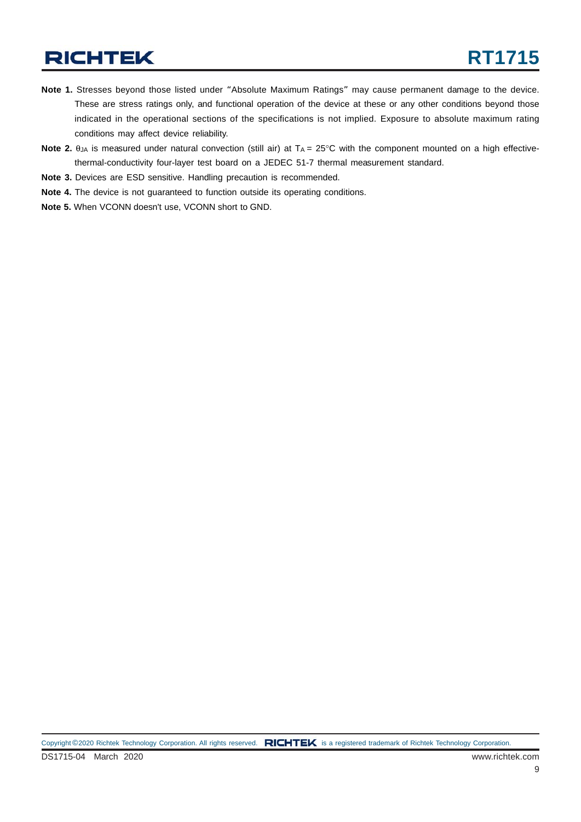### **RICHTEK**

- **Note 1.** Stresses beyond those listed under "Absolute Maximum Ratings" may cause permanent damage to the device. These are stress ratings only, and functional operation of the device at these or any other conditions beyond those indicated in the operational sections of the specifications is not implied. Exposure to absolute maximum rating conditions may affect device reliability.
- Note 2.  $θ<sub>JA</sub>$  is measured under natural convection (still air) at T<sub>A</sub> = 25°C with the component mounted on a high effectivethermal-conductivity four-layer test board on a JEDEC 51-7 thermal measurement standard.
- **Note 3.** Devices are ESD sensitive. Handling precaution is recommended.
- **Note 4.** The device is not guaranteed to function outside its operating conditions.
- **Note 5.** When VCONN doesn't use, VCONN short to GND.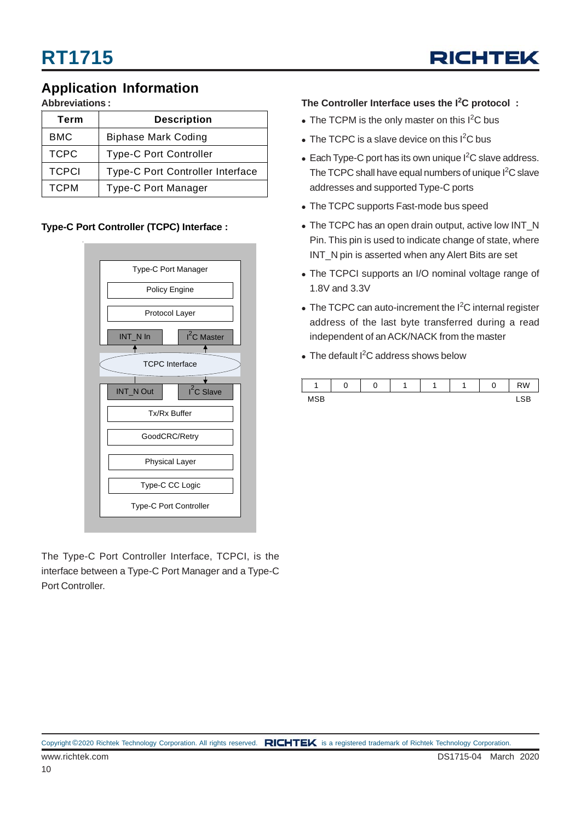

### **Application Information**

**Abbreviations :**

| Term         | <b>Description</b>                      |
|--------------|-----------------------------------------|
| BMC          | <b>Biphase Mark Coding</b>              |
| <b>TCPC</b>  | <b>Type-C Port Controller</b>           |
| <b>TCPCI</b> | <b>Type-C Port Controller Interface</b> |
| <b>TCPM</b>  | <b>Type-C Port Manager</b>              |

#### **Type-C Port Controller (TCPC) Interface :**



The Type-C Port Controller Interface, TCPCI, is the interface between a Type-C Port Manager and a Type-C Port Controller.

#### **The Controller Interface uses the I<sup>2</sup> C protocol :**

- The TCPM is the only master on this I<sup>2</sup>C bus
- $\bullet$  The TCPC is a slave device on this I<sup>2</sup>C bus
- $\bullet$  Each Type-C port has its own unique I<sup>2</sup>C slave address. The TCPC shall have equal numbers of unique I<sup>2</sup>C slave addresses and supported Type-C ports
- The TCPC supports Fast-mode bus speed
- The TCPC has an open drain output, active low INT\_N Pin. This pin is used to indicate change of state, where INT\_N pin is asserted when any Alert Bits are set
- The TCPCI supports an I/O nominal voltage range of 1.8V and 3.3V
- The TCPC can auto-increment the  $I^2C$  internal register address of the last byte transferred during a read independent of an ACK/NACK from the master
- $\bullet$  The default I<sup>2</sup>C address shows below

|                        | $\overline{ }$ |  |  | r<br>U | <b>RW</b> |
|------------------------|----------------|--|--|--------|-----------|
| <b>MCD</b><br>,,,<br>. |                |  |  |        |           |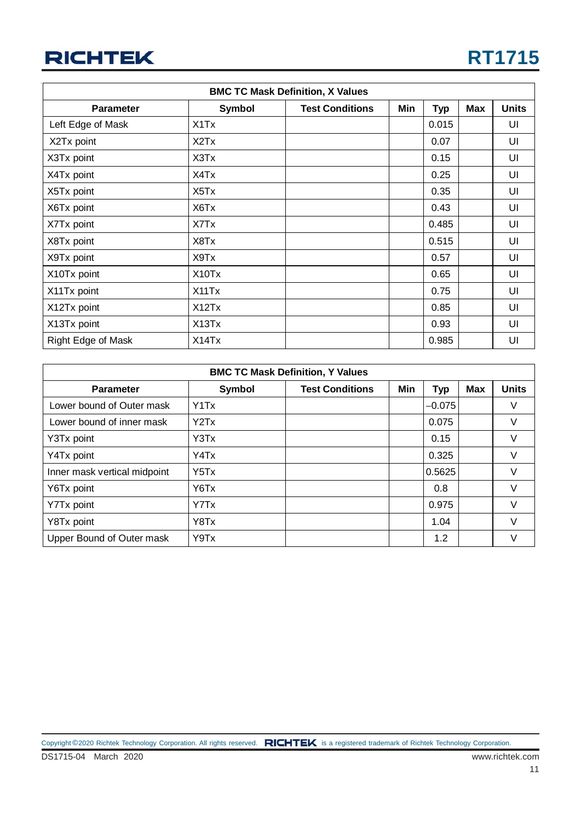### **RICHTEK**

| <b>BMC TC Mask Definition, X Values</b> |                                |                        |     |            |     |              |  |  |
|-----------------------------------------|--------------------------------|------------------------|-----|------------|-----|--------------|--|--|
| <b>Parameter</b>                        | Symbol                         | <b>Test Conditions</b> | Min | <b>Typ</b> | Max | <b>Units</b> |  |  |
| Left Edge of Mask                       | X1Tx                           |                        |     | 0.015      |     | UI           |  |  |
| X2Tx point                              | X <sub>2</sub> T <sub>x</sub>  |                        |     | 0.07       |     | UI           |  |  |
| X3Tx point                              | X3Tx                           |                        |     | 0.15       |     | UI           |  |  |
| X4Tx point                              | X4Tx                           |                        |     | 0.25       |     | UI           |  |  |
| X5Tx point                              | X5Tx                           |                        |     | 0.35       |     | UI           |  |  |
| X6Tx point                              | X6Tx                           |                        |     | 0.43       |     | UI           |  |  |
| X7Tx point                              | X7Tx                           |                        |     | 0.485      |     | UI           |  |  |
| X8Tx point                              | X8Tx                           |                        |     | 0.515      |     | UI           |  |  |
| X9Tx point                              | X9Tx                           |                        |     | 0.57       |     | UI           |  |  |
| X10Tx point                             | X <sub>10</sub> T <sub>x</sub> |                        |     | 0.65       |     | UI           |  |  |
| X11Tx point                             | X11Tx                          |                        |     | 0.75       |     | UI           |  |  |
| X12Tx point                             | X12Tx                          |                        |     | 0.85       |     | UI           |  |  |
| X13Tx point                             | X13Tx                          |                        |     | 0.93       |     | UI           |  |  |
| Right Edge of Mask                      | X14Tx                          |                        |     | 0.985      |     | UI           |  |  |

| <b>BMC TC Mask Definition, Y Values</b> |                               |                        |     |            |     |              |  |  |  |  |  |
|-----------------------------------------|-------------------------------|------------------------|-----|------------|-----|--------------|--|--|--|--|--|
| <b>Parameter</b>                        | Symbol                        | <b>Test Conditions</b> | Min | <b>Typ</b> | Max | <b>Units</b> |  |  |  |  |  |
| Lower bound of Outer mask               | Y <sub>1</sub> T <sub>x</sub> |                        |     | $-0.075$   |     | V            |  |  |  |  |  |
| Lower bound of inner mask               | YZTx                          |                        |     | 0.075      |     | V            |  |  |  |  |  |
| Y3Tx point                              | Y3Tx                          |                        |     | 0.15       |     | V            |  |  |  |  |  |
| Y4Tx point                              | Y4Tx                          |                        |     | 0.325      |     | V            |  |  |  |  |  |
| Inner mask vertical midpoint            | Y5Tx                          |                        |     | 0.5625     |     | V            |  |  |  |  |  |
| Y6Tx point                              | Y6Tx                          |                        |     | 0.8        |     | $\vee$       |  |  |  |  |  |
| Y7Tx point                              | Y7Tx                          |                        |     | 0.975      |     | $\vee$       |  |  |  |  |  |
| Y8Tx point                              | Y8Tx                          |                        |     | 1.04       |     | $\vee$       |  |  |  |  |  |
| Upper Bound of Outer mask               | Y9Tx                          |                        |     | 1.2        |     | V            |  |  |  |  |  |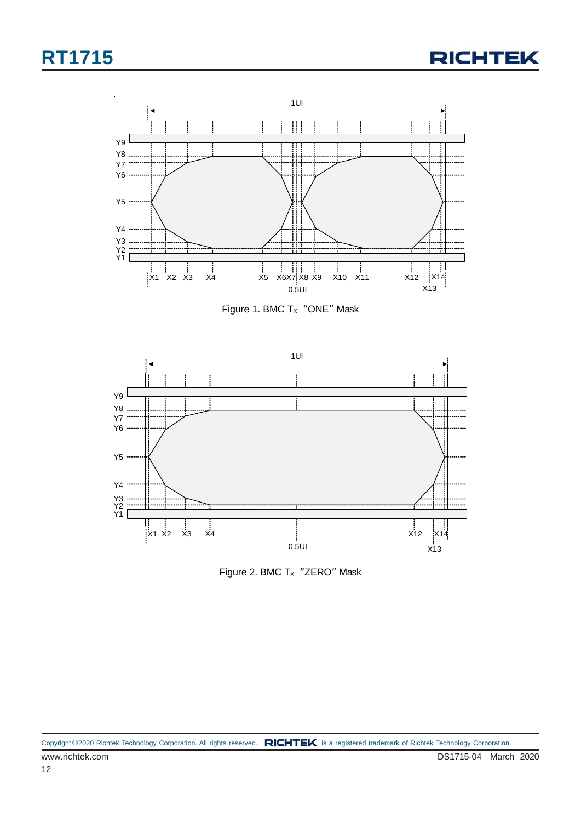



Figure 1. BMC  $Tx$  "ONE" Mask



Figure 2. BMC  $T_x$  "ZERO" Mask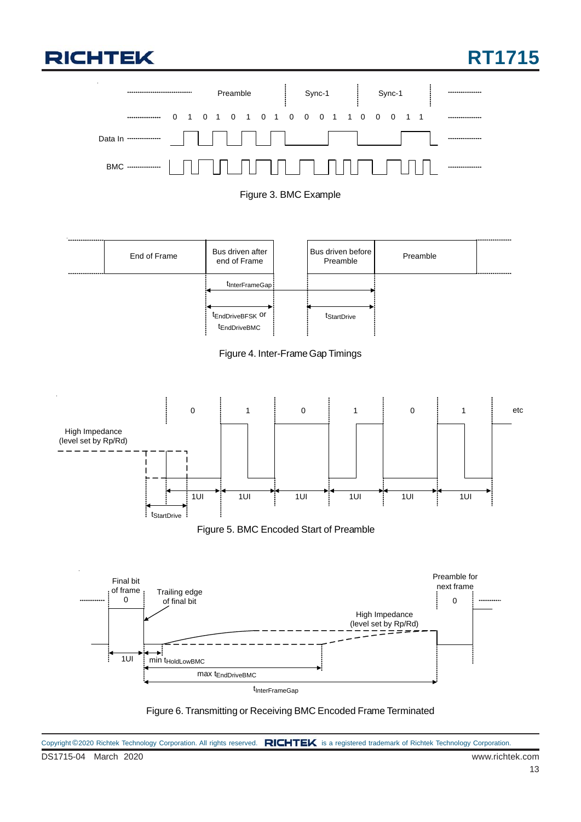## **RICHTEK**

















DS1715-04 March 2020 www.richtek.com Copyright ©2020 Richtek Technology Corporation. All rights reserved. RICHTEK is a registered trademark of Richtek Technology Corporation.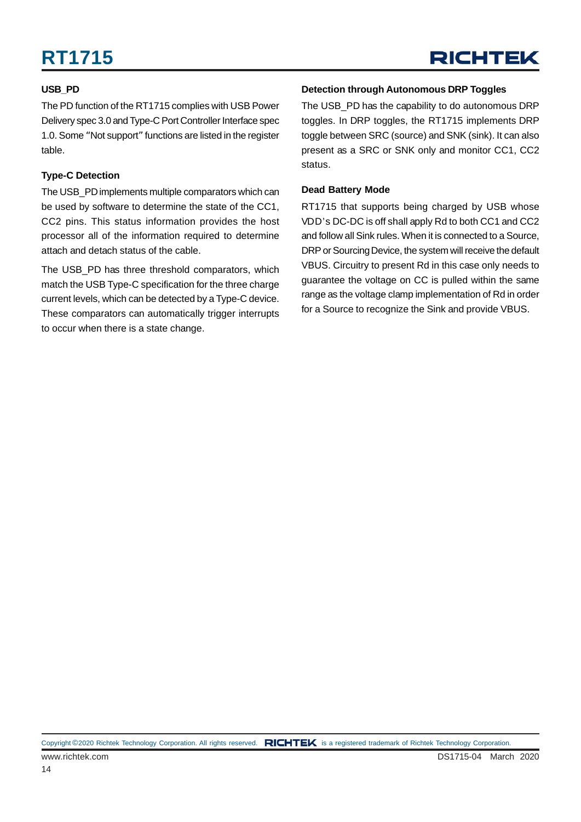#### **USB\_PD**

The PD function of the RT1715 complies with USB Power Delivery spec 3.0 and Type-C Port Controller Interface spec 1.0. Some "Not support" functions are listed in the register table.

#### **Type-C Detection**

The USB PD implements multiple comparators which can be used by software to determine the state of the CC1, CC2 pins. This status information provides the host processor all of the information required to determine attach and detach status of the cable.

The USB\_PD has three threshold comparators, which match the USB Type-C specification for the three charge current levels, which can be detected by a Type-C device. These comparators can automatically trigger interrupts to occur when there is a state change.

#### **Detection through Autonomous DRP Toggles**

The USB PD has the capability to do autonomous DRP toggles. In DRP toggles, the RT1715 implements DRP toggle between SRC (source) and SNK (sink). It can also present as a SRC or SNK only and monitor CC1, CC2 status.

#### **Dead Battery Mode**

RT1715 that supports being charged by USB whose VDD's DC-DC is off shall apply Rd to both CC1 and CC2 and follow all Sink rules. When it is connected to a Source, DRP or Sourcing Device, the system will receive the default VBUS. Circuitry to present Rd in this case only needs to guarantee the voltage on CC is pulled within the same range as the voltage clamp implementation of Rd in order for a Source to recognize the Sink and provide VBUS.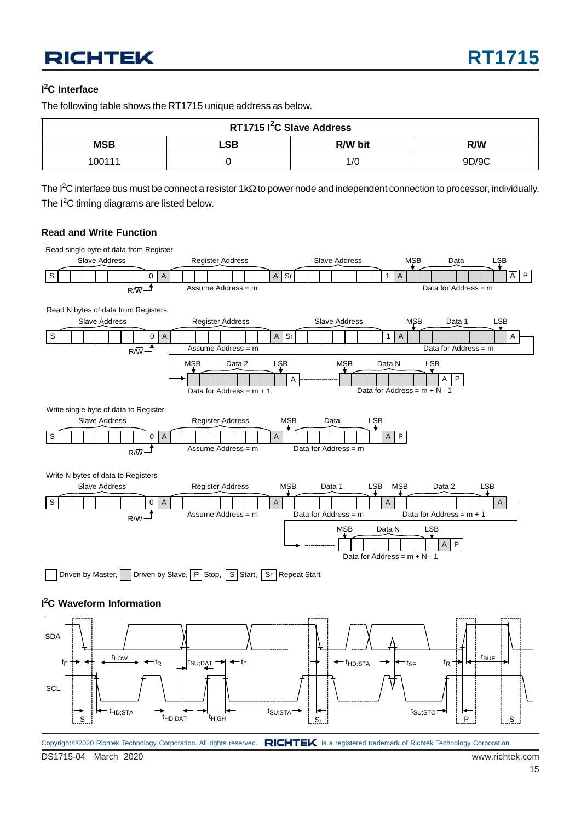### **RICHTEK**

#### **I 2 C Interface**

The following table shows the RT1715 unique address as below.

| RT1715 I <sup>2</sup> C Slave Address |                       |     |       |  |  |  |  |  |  |
|---------------------------------------|-----------------------|-----|-------|--|--|--|--|--|--|
| <b>MSB</b>                            | LSB<br>R/W bit<br>R/W |     |       |  |  |  |  |  |  |
| 100111                                |                       | 1/C | 9D/9C |  |  |  |  |  |  |

The I<sup>2</sup>C interface bus must be connect a resistor 1kΩ to power node and independent connection to processor, individually. The I<sup>2</sup>C timing diagrams are listed below.

#### **Read and Write Function**



DS1715-04 March 2020 www.richtek.com Copyright ©2020 Richtek Technology Corporation. All rights reserved. RICHTEK is a registered trademark of Richtek Technology Corporation.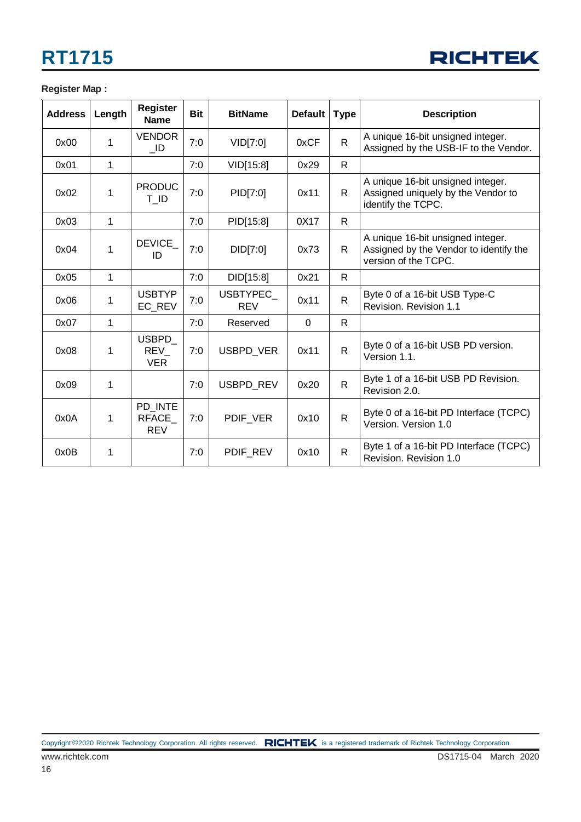

#### **Register Map :**

| <b>Address</b> | Length      | <b>Register</b><br><b>Name</b>        | <b>Bit</b> | <b>BitName</b>          | <b>Default</b> | <b>Type</b>  | <b>Description</b>                                                                                  |
|----------------|-------------|---------------------------------------|------------|-------------------------|----------------|--------------|-----------------------------------------------------------------------------------------------------|
| 0x00           | 1           | <b>VENDOR</b><br>$\_$ ID              | 7:0        | VID[7:0]                | 0xCF           | $\mathsf{R}$ | A unique 16-bit unsigned integer.<br>Assigned by the USB-IF to the Vendor.                          |
| 0x01           | 1           |                                       | 7:0        | VID[15:8]               | 0x29           | $\mathsf{R}$ |                                                                                                     |
| 0x02           | $\mathbf 1$ | <b>PRODUC</b><br>T ID                 | 7:0        | PID[7:0]                | 0x11           | R.           | A unique 16-bit unsigned integer.<br>Assigned uniquely by the Vendor to<br>identify the TCPC.       |
| 0x03           | 1           |                                       | 7:0        | PID[15:8]               | 0X17           | R.           |                                                                                                     |
| 0x04           | 1           | <b>DEVICE</b><br>ID                   | 7:0        | DID[7:0]                | 0x73           | R.           | A unique 16-bit unsigned integer.<br>Assigned by the Vendor to identify the<br>version of the TCPC. |
| 0x05           | 1           |                                       | 7:0        | DID[15:8]               | 0x21           | R.           |                                                                                                     |
| 0x06           | 1           | <b>USBTYP</b><br>EC REV               | 7:0        | USBTYPEC_<br><b>REV</b> | 0x11           | $\mathsf{R}$ | Byte 0 of a 16-bit USB Type-C<br>Revision. Revision 1.1                                             |
| 0x07           | 1           |                                       | 7:0        | Reserved                | $\Omega$       | R.           |                                                                                                     |
| 0x08           | 1           | <b>USBPD</b><br>REV<br><b>VER</b>     | 7:0        | <b>USBPD VER</b>        | 0x11           | $\mathsf{R}$ | Byte 0 of a 16-bit USB PD version.<br>Version 1.1.                                                  |
| 0x09           | 1           |                                       | 7:0        | <b>USBPD REV</b>        | 0x20           | $\mathsf{R}$ | Byte 1 of a 16-bit USB PD Revision.<br>Revision 2.0.                                                |
| 0x0A           | 1           | PD INTE<br><b>RFACE</b><br><b>REV</b> | 7:0        | PDIF VER                | 0x10           | $\mathsf{R}$ | Byte 0 of a 16-bit PD Interface (TCPC)<br>Version. Version 1.0                                      |
| 0x0B           | 1           |                                       | 7:0        | PDIF_REV                | 0x10           | $\mathsf{R}$ | Byte 1 of a 16-bit PD Interface (TCPC)<br>Revision, Revision 1.0                                    |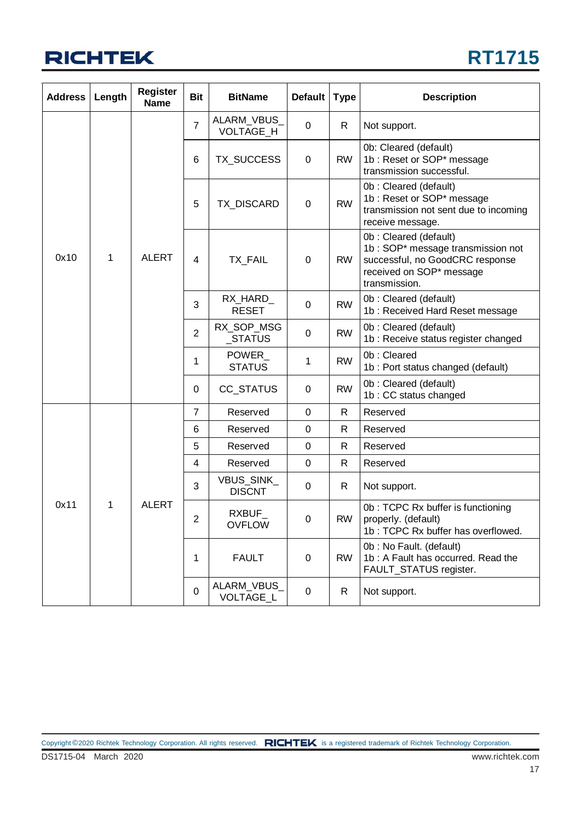

| <b>Address</b> | Length | <b>Register</b><br><b>Name</b> | <b>Bit</b>     | <b>BitName</b>                | <b>Default</b> | <b>Type</b>  | <b>Description</b>                                                                                                                         |
|----------------|--------|--------------------------------|----------------|-------------------------------|----------------|--------------|--------------------------------------------------------------------------------------------------------------------------------------------|
|                |        |                                | $\overline{7}$ | ALARM_VBUS<br>VOLTAGE_H       | 0              | R            | Not support.                                                                                                                               |
|                |        |                                | 6              | TX_SUCCESS                    | 0              | <b>RW</b>    | 0b: Cleared (default)<br>1b: Reset or SOP* message<br>transmission successful.                                                             |
| 0x10<br>1      |        |                                | 5              | TX_DISCARD                    | $\mathbf 0$    | <b>RW</b>    | Ob: Cleared (default)<br>1b : Reset or SOP* message<br>transmission not sent due to incoming<br>receive message.                           |
|                |        | <b>ALERT</b>                   | 4              | TX_FAIL                       | 0              | <b>RW</b>    | 0b: Cleared (default)<br>1b: SOP* message transmission not<br>successful, no GoodCRC response<br>received on SOP* message<br>transmission. |
|                |        |                                | 3              | RX_HARD_<br><b>RESET</b>      | 0              | <b>RW</b>    | 0b: Cleared (default)<br>1b: Received Hard Reset message                                                                                   |
|                |        |                                | $\overline{2}$ | RX_SOP_MSG<br>$\_STATUS$      | 0              | <b>RW</b>    | 0b: Cleared (default)<br>1b : Receive status register changed                                                                              |
|                |        |                                | 1              | <b>POWER</b><br><b>STATUS</b> | 1              | <b>RW</b>    | 0b: Cleared<br>1b : Port status changed (default)                                                                                          |
|                |        |                                | 0              | CC_STATUS                     | 0              | <b>RW</b>    | 0b: Cleared (default)<br>1b: CC status changed                                                                                             |
|                |        |                                | $\overline{7}$ | Reserved                      | $\mathbf 0$    | $\mathsf{R}$ | Reserved                                                                                                                                   |
|                |        |                                | 6              | Reserved                      | 0              | R            | Reserved                                                                                                                                   |
|                |        |                                | 5              | Reserved                      | 0              | R            | Reserved                                                                                                                                   |
|                |        |                                | 4              | Reserved                      | $\mathbf 0$    | $\mathsf{R}$ | Reserved                                                                                                                                   |
|                |        |                                | 3              | VBUS_SINK_<br><b>DISCNT</b>   | 0              | R            | Not support.                                                                                                                               |
| 0x11<br>1      |        | <b>ALERT</b>                   | 2              | RXBUF_<br><b>OVFLOW</b>       | 0              | <b>RW</b>    | 0b: TCPC Rx buffer is functioning<br>properly. (default)<br>1b: TCPC Rx buffer has overflowed.                                             |
|                |        |                                | 1              | <b>FAULT</b>                  | 0              | <b>RW</b>    | 0b: No Fault. (default)<br>1b: A Fault has occurred. Read the<br>FAULT_STATUS register.                                                    |
|                |        |                                | $\mathbf 0$    | ALARM_VBUS_<br>VOLTAGE_L      | 0              | R            | Not support.                                                                                                                               |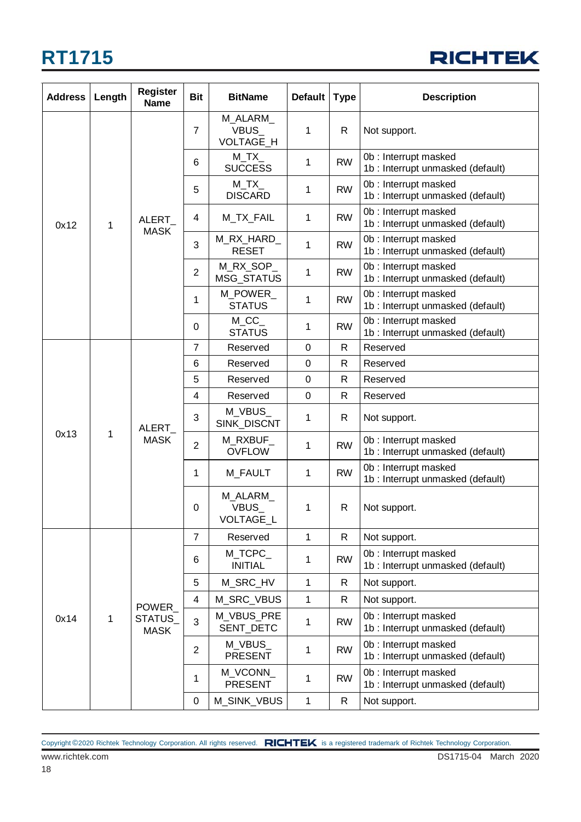

| <b>Address</b> | Length | <b>Register</b><br><b>Name</b> | <b>Bit</b>     | <b>BitName</b>                             | <b>Default</b> | <b>Type</b>  | <b>Description</b>                                        |  |  |  |  |  |  |   |                                |   |   |
|----------------|--------|--------------------------------|----------------|--------------------------------------------|----------------|--------------|-----------------------------------------------------------|--|--|--|--|--|--|---|--------------------------------|---|---|
|                |        |                                | 7              | M ALARM<br><b>VBUS</b><br><b>VOLTAGE H</b> | 1              | R            | Not support.                                              |  |  |  |  |  |  |   |                                |   |   |
|                |        |                                | 6              | $M_TX$<br><b>SUCCESS</b>                   | 1              | <b>RW</b>    | 0b: Interrupt masked<br>1b : Interrupt unmasked (default) |  |  |  |  |  |  |   |                                |   |   |
|                |        |                                | 5              | $M_TX$<br><b>DISCARD</b>                   | 1              | <b>RW</b>    | 0b: Interrupt masked<br>1b : Interrupt unmasked (default) |  |  |  |  |  |  |   |                                |   |   |
| 0x12           | 1      | ALERT                          | 4              | M_TX_FAIL                                  | 1              | <b>RW</b>    | 0b: Interrupt masked<br>1b : Interrupt unmasked (default) |  |  |  |  |  |  |   |                                |   |   |
|                |        | <b>MASK</b>                    | 3              | M_RX_HARD_<br><b>RESET</b>                 | 1              | <b>RW</b>    | 0b: Interrupt masked<br>1b : Interrupt unmasked (default) |  |  |  |  |  |  |   |                                |   |   |
|                |        |                                | $\overline{2}$ | M_RX_SOP_<br>MSG_STATUS                    | 1              | <b>RW</b>    | 0b: Interrupt masked<br>1b : Interrupt unmasked (default) |  |  |  |  |  |  |   |                                |   |   |
|                |        |                                | 1              | M POWER<br><b>STATUS</b>                   | 1              | <b>RW</b>    | 0b: Interrupt masked<br>1b : Interrupt unmasked (default) |  |  |  |  |  |  |   |                                |   |   |
|                |        |                                | 0              | $M\_CC$<br><b>STATUS</b>                   | 1              | <b>RW</b>    | 0b: Interrupt masked<br>1b : Interrupt unmasked (default) |  |  |  |  |  |  |   |                                |   |   |
|                |        |                                | 7              | Reserved                                   | 0              | R            | Reserved                                                  |  |  |  |  |  |  |   |                                |   |   |
|                |        | ALERT<br><b>MASK</b>           | 6              | Reserved                                   | 0              | $\mathsf{R}$ | Reserved                                                  |  |  |  |  |  |  |   |                                |   |   |
|                |        |                                | 5              | Reserved                                   | 0              | $\mathsf{R}$ | Reserved                                                  |  |  |  |  |  |  |   |                                |   |   |
|                |        |                                | 4              | Reserved                                   | $\pmb{0}$      | $\mathsf{R}$ | Reserved                                                  |  |  |  |  |  |  |   |                                |   |   |
|                |        |                                | 3              | M_VBUS_<br>SINK_DISCNT                     | 1              | R            | Not support.                                              |  |  |  |  |  |  |   |                                |   |   |
| 0x13           | 1      |                                | 2              | M_RXBUF_<br><b>OVFLOW</b>                  | 1              | <b>RW</b>    | 0b: Interrupt masked<br>1b : Interrupt unmasked (default) |  |  |  |  |  |  |   |                                |   |   |
|                |        |                                | 1              | M_FAULT                                    | 1              | <b>RW</b>    | 0b: Interrupt masked<br>1b : Interrupt unmasked (default) |  |  |  |  |  |  |   |                                |   |   |
|                |        |                                |                |                                            |                |              |                                                           |  |  |  |  |  |  | 0 | M_ALARM_<br>VBUS_<br>VOLTAGE_L | 1 | R |
|                |        |                                | $\overline{7}$ | Reserved                                   | $\mathbf{1}$   | $\mathsf{R}$ | Not support.                                              |  |  |  |  |  |  |   |                                |   |   |
|                |        |                                | 6              | M_TCPC_<br><b>INITIAL</b>                  | 1              | <b>RW</b>    | 0b: Interrupt masked<br>1b : Interrupt unmasked (default) |  |  |  |  |  |  |   |                                |   |   |
|                |        |                                | 5              | M_SRC_HV                                   | $\mathbf{1}$   | R            | Not support.                                              |  |  |  |  |  |  |   |                                |   |   |
|                |        |                                | 4              | M_SRC_VBUS                                 | $\mathbf{1}$   | R            | Not support.                                              |  |  |  |  |  |  |   |                                |   |   |
| 0x14           | 1      | POWER<br>STATUS<br><b>MASK</b> | 3              | M_VBUS_PRE<br>SENT_DETC                    | 1              | <b>RW</b>    | 0b: Interrupt masked<br>1b : Interrupt unmasked (default) |  |  |  |  |  |  |   |                                |   |   |
|                |        |                                | $\overline{2}$ | M_VBUS_<br><b>PRESENT</b>                  | 1              | <b>RW</b>    | 0b: Interrupt masked<br>1b : Interrupt unmasked (default) |  |  |  |  |  |  |   |                                |   |   |
|                |        |                                | 1              | M_VCONN_<br><b>PRESENT</b>                 | 1              | <b>RW</b>    | 0b: Interrupt masked<br>1b: Interrupt unmasked (default)  |  |  |  |  |  |  |   |                                |   |   |
|                |        |                                | 0              | M_SINK_VBUS                                | 1              | $\mathsf{R}$ | Not support.                                              |  |  |  |  |  |  |   |                                |   |   |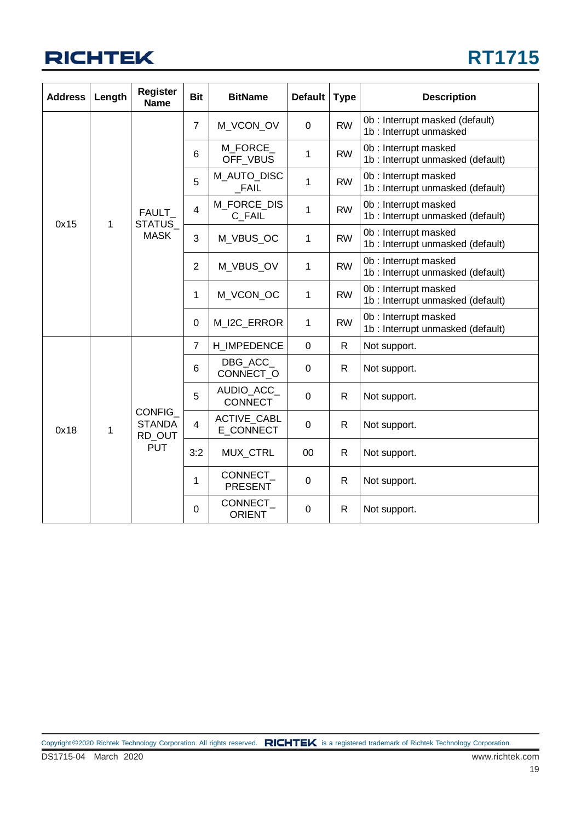

| <b>Address</b> | Length | <b>Register</b><br><b>Name</b>           | <b>Bit</b>     | <b>BitName</b>                  | <b>Default</b> | <b>Type</b>  | <b>Description</b>                                        |
|----------------|--------|------------------------------------------|----------------|---------------------------------|----------------|--------------|-----------------------------------------------------------|
|                |        |                                          | $\overline{7}$ | M_VCON_OV                       | 0              | <b>RW</b>    | 0b: Interrupt masked (default)<br>1b : Interrupt unmasked |
|                |        |                                          | 6              | M FORCE<br>OFF_VBUS             | 1              | <b>RW</b>    | 0b: Interrupt masked<br>1b : Interrupt unmasked (default) |
|                |        |                                          | 5              | M_AUTO_DISC<br>FAIL             | 1              | <b>RW</b>    | 0b: Interrupt masked<br>1b : Interrupt unmasked (default) |
| 0x15           | 1      | <b>FAULT</b><br>STATUS_                  | 4              | M FORCE DIS<br>C FAIL           | 1              | <b>RW</b>    | 0b: Interrupt masked<br>1b : Interrupt unmasked (default) |
|                |        | <b>MASK</b>                              | 3              | M_VBUS_OC                       | 1              | <b>RW</b>    | 0b: Interrupt masked<br>1b : Interrupt unmasked (default) |
|                |        |                                          | $\overline{2}$ | M_VBUS_OV                       | 1              | <b>RW</b>    | 0b: Interrupt masked<br>1b: Interrupt unmasked (default)  |
|                |        |                                          | 1              | M VCON OC                       | $\mathbf 1$    | <b>RW</b>    | 0b: Interrupt masked<br>1b: Interrupt unmasked (default)  |
|                |        |                                          | 0              | M_I2C_ERROR                     | 1              | <b>RW</b>    | 0b: Interrupt masked<br>1b : Interrupt unmasked (default) |
|                |        |                                          | $\overline{7}$ | H IMPEDENCE                     | $\mathbf 0$    | $\mathsf{R}$ | Not support.                                              |
|                |        |                                          | 6              | DBG ACC<br>CONNECT_O            | $\mathbf 0$    | R.           | Not support.                                              |
|                |        |                                          | 5              | AUDIO_ACC_<br><b>CONNECT</b>    | 0              | R            | Not support.                                              |
| 0x18           | 1      | <b>CONFIG</b><br><b>STANDA</b><br>RD OUT | 4              | <b>ACTIVE CABL</b><br>E CONNECT | $\Omega$       | R.           | Not support.                                              |
|                |        | <b>PUT</b>                               | 3:2            | MUX_CTRL                        | 00             | R            | Not support.                                              |
|                |        |                                          | 1              | CONNECT_<br><b>PRESENT</b>      | 0              | R            | Not support.                                              |
|                |        |                                          | $\mathbf 0$    | CONNECT<br><b>ORIENT</b>        | 0              | R            | Not support.                                              |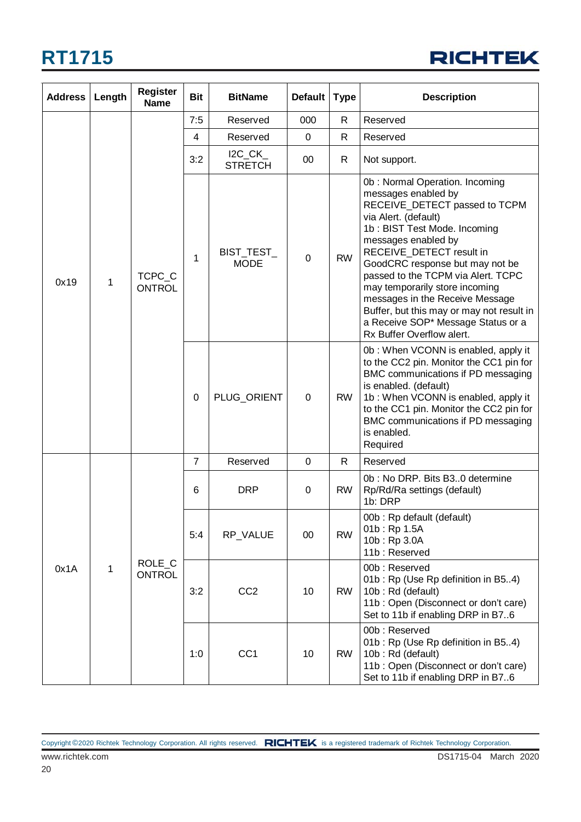

| <b>Address</b> | Length | <b>Register</b><br><b>Name</b> | <b>Bit</b>     | <b>BitName</b>            | <b>Default</b> | <b>Type</b>  | <b>Description</b>                                                                                                                                                                                                                                                                                                                                                                                                                                              |
|----------------|--------|--------------------------------|----------------|---------------------------|----------------|--------------|-----------------------------------------------------------------------------------------------------------------------------------------------------------------------------------------------------------------------------------------------------------------------------------------------------------------------------------------------------------------------------------------------------------------------------------------------------------------|
|                |        |                                | 7:5            | Reserved                  | 000            | R            | Reserved                                                                                                                                                                                                                                                                                                                                                                                                                                                        |
|                |        |                                | $\overline{4}$ | Reserved                  | $\mathbf 0$    | $\mathsf{R}$ | Reserved                                                                                                                                                                                                                                                                                                                                                                                                                                                        |
|                |        |                                | 3:2            | $IC_CK$<br><b>STRETCH</b> | 00             | R            | Not support.                                                                                                                                                                                                                                                                                                                                                                                                                                                    |
| 0x19<br>1      |        | TCPC_C<br><b>ONTROL</b>        | 1              | BIST_TEST_<br><b>MODE</b> | $\mathbf 0$    | <b>RW</b>    | 0b: Normal Operation. Incoming<br>messages enabled by<br>RECEIVE_DETECT passed to TCPM<br>via Alert. (default)<br>1b: BIST Test Mode. Incoming<br>messages enabled by<br>RECEIVE_DETECT result in<br>GoodCRC response but may not be<br>passed to the TCPM via Alert. TCPC<br>may temporarily store incoming<br>messages in the Receive Message<br>Buffer, but this may or may not result in<br>a Receive SOP* Message Status or a<br>Rx Buffer Overflow alert. |
|                |        |                                | 0              | PLUG_ORIENT               | 0              | <b>RW</b>    | 0b: When VCONN is enabled, apply it<br>to the CC2 pin. Monitor the CC1 pin for<br>BMC communications if PD messaging<br>is enabled. (default)<br>1b: When VCONN is enabled, apply it<br>to the CC1 pin. Monitor the CC2 pin for<br>BMC communications if PD messaging<br>is enabled.<br>Required                                                                                                                                                                |
|                |        |                                | $\overline{7}$ | Reserved                  | 0              | R            | Reserved                                                                                                                                                                                                                                                                                                                                                                                                                                                        |
|                |        | ROLE_C<br><b>ONTROL</b>        | 6              | <b>DRP</b>                | 0              | <b>RW</b>    | 0b: No DRP. Bits B30 determine<br>Rp/Rd/Ra settings (default)<br>1b: DRP                                                                                                                                                                                                                                                                                                                                                                                        |
| 0x1A           |        |                                | 5:4            | RP_VALUE                  | 00             | <b>RW</b>    | 00b: Rp default (default)<br>01b: Rp 1.5A<br>10b: Rp 3.0A<br>11b: Reserved                                                                                                                                                                                                                                                                                                                                                                                      |
|                | 1      |                                | 3:2            | CC <sub>2</sub>           | 10             | <b>RW</b>    | 00b: Reserved<br>01b: Rp (Use Rp definition in B54)<br>10b: Rd (default)<br>11b: Open (Disconnect or don't care)<br>Set to 11b if enabling DRP in B76                                                                                                                                                                                                                                                                                                           |
|                |        |                                | 1:0            | CC <sub>1</sub>           | 10             | <b>RW</b>    | 00b: Reserved<br>01b: Rp (Use Rp definition in B54)<br>10b: Rd (default)<br>11b: Open (Disconnect or don't care)<br>Set to 11b if enabling DRP in B76                                                                                                                                                                                                                                                                                                           |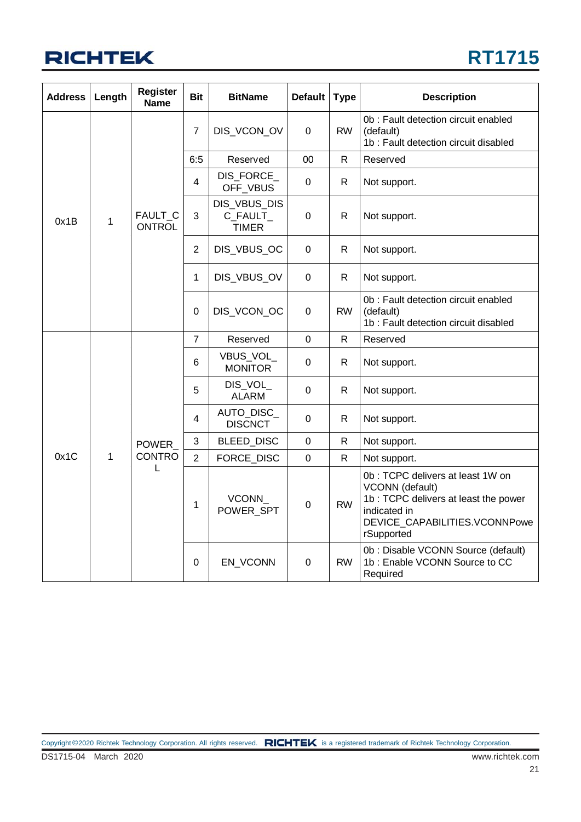

| <b>Address</b> | Length | <b>Register</b><br><b>Name</b> | <b>Bit</b>     | <b>BitName</b>                           | <b>Default</b> | <b>Type</b>  | <b>Description</b>                                                                                                                                          |
|----------------|--------|--------------------------------|----------------|------------------------------------------|----------------|--------------|-------------------------------------------------------------------------------------------------------------------------------------------------------------|
|                |        |                                | $\overline{7}$ | DIS_VCON_OV                              | 0              | <b>RW</b>    | 0b : Fault detection circuit enabled<br>(default)<br>1b : Fault detection circuit disabled                                                                  |
|                |        |                                | 6.5            | Reserved                                 | 00             | $\mathsf{R}$ | Reserved                                                                                                                                                    |
|                |        |                                | 4              | DIS_FORCE_<br>OFF_VBUS                   | $\pmb{0}$      | R.           | Not support.                                                                                                                                                |
| 0x1B           | 1      | FAULT_C<br><b>ONTROL</b>       | 3              | DIS_VBUS_DIS<br>C_FAULT_<br><b>TIMER</b> | $\pmb{0}$      | R            | Not support.                                                                                                                                                |
|                |        |                                | $\overline{2}$ | DIS_VBUS_OC                              | 0              | R.           | Not support.                                                                                                                                                |
|                |        |                                | 1              | DIS_VBUS_OV                              | 0              | $\mathsf{R}$ | Not support.                                                                                                                                                |
|                |        |                                | 0              | DIS_VCON_OC                              | 0              | <b>RW</b>    | 0b : Fault detection circuit enabled<br>(default)<br>1b: Fault detection circuit disabled                                                                   |
|                |        |                                | $\overline{7}$ | Reserved                                 | $\Omega$       | R.           | Reserved                                                                                                                                                    |
|                |        |                                | 6              | VBUS_VOL_<br><b>MONITOR</b>              | $\mathbf 0$    | R            | Not support.                                                                                                                                                |
|                |        |                                | 5              | DIS_VOL<br><b>ALARM</b>                  | 0              | $\mathsf{R}$ | Not support.                                                                                                                                                |
|                |        |                                | 4              | AUTO_DISC_<br><b>DISCNCT</b>             | 0              | R.           | Not support.                                                                                                                                                |
|                |        | <b>POWER</b>                   | 3              | BLEED_DISC                               | 0              | R            | Not support.                                                                                                                                                |
| 0x1C           | 1      | <b>CONTRO</b>                  | $\overline{2}$ | <b>FORCE DISC</b>                        | $\mathbf 0$    | R.           | Not support.                                                                                                                                                |
|                |        | L                              | 1              | VCONN<br>POWER_SPT                       | $\pmb{0}$      | <b>RW</b>    | 0b : TCPC delivers at least 1W on<br>VCONN (default)<br>1b: TCPC delivers at least the power<br>indicated in<br>DEVICE_CAPABILITIES.VCONNPowe<br>rSupported |
|                |        |                                | $\Omega$       | EN_VCONN                                 | 0              | <b>RW</b>    | 0b : Disable VCONN Source (default)<br>1b: Enable VCONN Source to CC<br>Required                                                                            |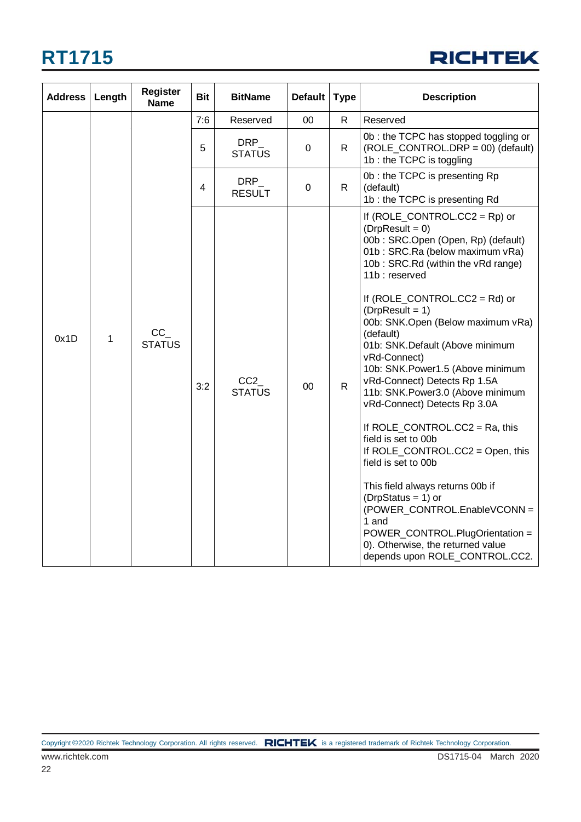

| <b>Address</b> | Length | <b>Register</b><br><b>Name</b>                    | <b>Bit</b>                  | <b>BitName</b>          | Default   Type |                                                                                                       | <b>Description</b>                                                                                                                                                                                                                                                                                                                                                                                                                                                                                                                                                                                                                                                                                                                                                                                                            |
|----------------|--------|---------------------------------------------------|-----------------------------|-------------------------|----------------|-------------------------------------------------------------------------------------------------------|-------------------------------------------------------------------------------------------------------------------------------------------------------------------------------------------------------------------------------------------------------------------------------------------------------------------------------------------------------------------------------------------------------------------------------------------------------------------------------------------------------------------------------------------------------------------------------------------------------------------------------------------------------------------------------------------------------------------------------------------------------------------------------------------------------------------------------|
|                |        | Reserved<br>00<br>$\mathsf{R}$<br>Reserved<br>7:6 |                             |                         |                |                                                                                                       |                                                                                                                                                                                                                                                                                                                                                                                                                                                                                                                                                                                                                                                                                                                                                                                                                               |
|                |        | 5                                                 | <b>DRP</b><br><b>STATUS</b> | 0                       | $\mathsf{R}$   | 0b: the TCPC has stopped toggling or<br>(ROLE_CONTROL.DRP = 00) (default)<br>1b: the TCPC is toggling |                                                                                                                                                                                                                                                                                                                                                                                                                                                                                                                                                                                                                                                                                                                                                                                                                               |
|                |        |                                                   | 4                           | $DRP_$<br><b>RESULT</b> | 0              | R.                                                                                                    | 0b: the TCPC is presenting Rp<br>(default)<br>1b: the TCPC is presenting Rd                                                                                                                                                                                                                                                                                                                                                                                                                                                                                                                                                                                                                                                                                                                                                   |
| 0x1D           | 1      | $CC_$<br><b>STATUS</b>                            | 3:2                         | CC2<br><b>STATUS</b>    | 00             | $\mathsf{R}$                                                                                          | If $(ROLE\_CONTROL.CC2 = Rp)$ or<br>$(DrpResult = 0)$<br>00b: SRC.Open (Open, Rp) (default)<br>01b: SRC.Ra (below maximum vRa)<br>10b: SRC.Rd (within the vRd range)<br>11b: reserved<br>If $(ROLE_CONTROL.CC2 = Rd)$ or<br>$(DrpResult = 1)$<br>00b: SNK.Open (Below maximum vRa)<br>(default)<br>01b: SNK.Default (Above minimum<br>vRd-Connect)<br>10b: SNK.Power1.5 (Above minimum<br>vRd-Connect) Detects Rp 1.5A<br>11b: SNK.Power3.0 (Above minimum<br>vRd-Connect) Detects Rp 3.0A<br>If ROLE_CONTROL.CC2 = Ra, this<br>field is set to 00b<br>If ROLE_CONTROL.CC2 = Open, this<br>field is set to 00b<br>This field always returns 00b if<br>$(DrpStatus = 1)$ or<br>(POWER_CONTROL.EnableVCONN =<br>1 and<br>POWER_CONTROL.PlugOrientation =<br>0). Otherwise, the returned value<br>depends upon ROLE_CONTROL.CC2. |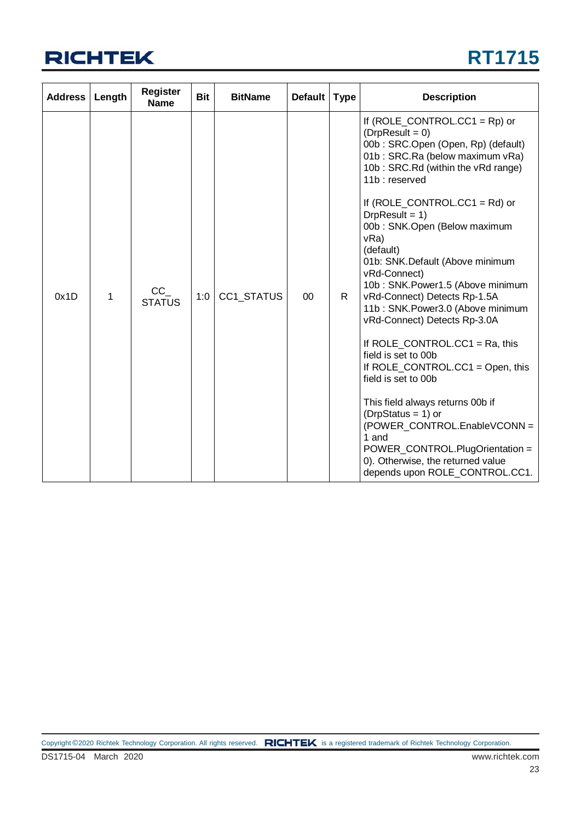

| <b>Address</b> | Length | <b>Register</b><br><b>Name</b> | <b>Bit</b> | <b>BitName</b> | <b>Default</b> | <b>Type</b> | <b>Description</b>                                                                                                                                                                                                                                                                                                                                                                                                                                                                                                                                                                                                                                                                                                                                                                                                              |
|----------------|--------|--------------------------------|------------|----------------|----------------|-------------|---------------------------------------------------------------------------------------------------------------------------------------------------------------------------------------------------------------------------------------------------------------------------------------------------------------------------------------------------------------------------------------------------------------------------------------------------------------------------------------------------------------------------------------------------------------------------------------------------------------------------------------------------------------------------------------------------------------------------------------------------------------------------------------------------------------------------------|
| 0x1D           | 1      | CC<br><b>STATUS</b>            | 1:0        | CC1_STATUS     | 00             | R.          | If $(ROLE_CONTROL.CC1 = Rp)$ or<br>$(DrpResult = 0)$<br>00b: SRC.Open (Open, Rp) (default)<br>01b: SRC.Ra (below maximum vRa)<br>10b: SRC.Rd (within the vRd range)<br>11b: reserved<br>If $(ROLE\_CONTROL.CC1 = Rd)$ or<br>$DrpResult = 1)$<br>00b: SNK.Open (Below maximum<br>vRa)<br>(default)<br>01b: SNK.Default (Above minimum<br>vRd-Connect)<br>10b: SNK.Power1.5 (Above minimum<br>vRd-Connect) Detects Rp-1.5A<br>11b: SNK.Power3.0 (Above minimum<br>vRd-Connect) Detects Rp-3.0A<br>If ROLE CONTROL.CC1 = Ra, this<br>field is set to 00b<br>If ROLE_CONTROL.CC1 = Open, this<br>field is set to 00b<br>This field always returns 00b if<br>$(DrpStatus = 1)$ or<br>(POWER_CONTROL.EnableVCONN =<br>1 and<br>POWER_CONTROL.PlugOrientation =<br>0). Otherwise, the returned value<br>depends upon ROLE_CONTROL.CC1. |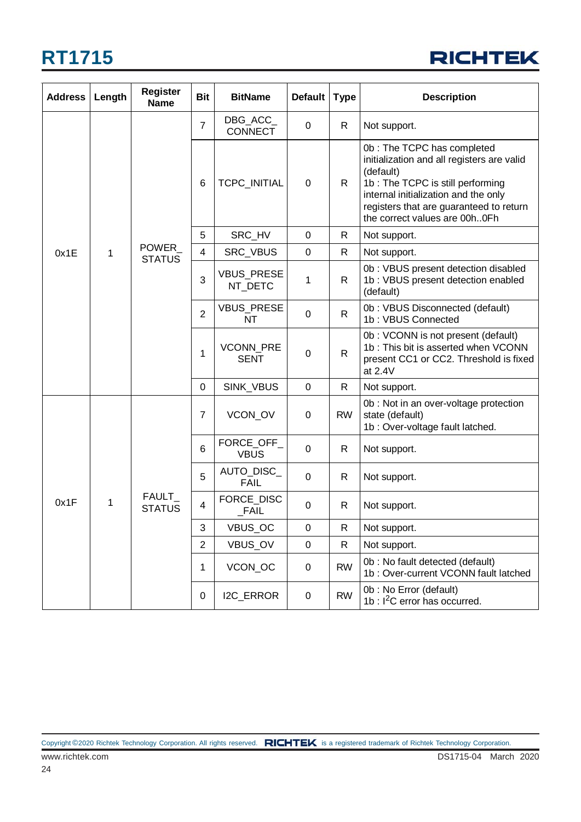

| <b>Address</b> | Length | <b>Register</b><br><b>Name</b> | <b>Bit</b>     | <b>BitName</b>               | Default   Type |              | <b>Description</b>                                                                                                                                                                                                                            |
|----------------|--------|--------------------------------|----------------|------------------------------|----------------|--------------|-----------------------------------------------------------------------------------------------------------------------------------------------------------------------------------------------------------------------------------------------|
|                |        |                                | $\overline{7}$ | DBG_ACC_<br><b>CONNECT</b>   | $\mathbf 0$    | R.           | Not support.                                                                                                                                                                                                                                  |
|                |        |                                | 6              | TCPC_INITIAL                 | 0              | R.           | 0b: The TCPC has completed<br>initialization and all registers are valid<br>(default)<br>1b: The TCPC is still performing<br>internal initialization and the only<br>registers that are guaranteed to return<br>the correct values are 00h0Fh |
|                |        |                                | 5              | SRC_HV                       | $\mathbf 0$    | $\mathsf{R}$ | Not support.                                                                                                                                                                                                                                  |
| 0x1E           | 1      | POWER<br><b>STATUS</b>         | 4              | SRC_VBUS                     | 0              | R            | Not support.                                                                                                                                                                                                                                  |
|                |        |                                | 3              | <b>VBUS_PRESE</b><br>NT_DETC | 1              | $\mathsf{R}$ | 0b: VBUS present detection disabled<br>1b: VBUS present detection enabled<br>(default)                                                                                                                                                        |
|                |        |                                | $\overline{2}$ | <b>VBUS PRESE</b><br>NT      | 0              | $\mathsf{R}$ | 0b: VBUS Disconnected (default)<br>1b: VBUS Connected                                                                                                                                                                                         |
|                |        |                                | 1              | VCONN_PRE<br><b>SENT</b>     | 0              | $\mathsf{R}$ | 0b: VCONN is not present (default)<br>1b: This bit is asserted when VCONN<br>present CC1 or CC2. Threshold is fixed<br>at 2.4V                                                                                                                |
|                |        |                                | $\mathbf 0$    | SINK_VBUS                    | $\mathbf 0$    | R            | Not support.                                                                                                                                                                                                                                  |
|                |        |                                | $\overline{7}$ | VCON_OV                      | 0              | <b>RW</b>    | 0b : Not in an over-voltage protection<br>state (default)<br>1b : Over-voltage fault latched.                                                                                                                                                 |
|                |        |                                | 6              | FORCE_OFF_<br><b>VBUS</b>    | $\mathbf 0$    | $\mathsf{R}$ | Not support.                                                                                                                                                                                                                                  |
|                |        |                                | 5              | AUTO_DISC_<br><b>FAIL</b>    | $\mathbf 0$    | R            | Not support.                                                                                                                                                                                                                                  |
| 0x1F           | 1      | FAULT_<br><b>STATUS</b>        | 4              | FORCE_DISC<br>$\_FAIL$       | 0              | R            | Not support.                                                                                                                                                                                                                                  |
|                |        |                                | 3              | VBUS_OC                      | 0              | $\mathsf{R}$ | Not support.                                                                                                                                                                                                                                  |
|                |        |                                | $\overline{2}$ | <b>VBUS OV</b>               | 0              | R            | Not support.                                                                                                                                                                                                                                  |
|                |        |                                | 1              | VCON_OC                      | 0              | <b>RW</b>    | 0b : No fault detected (default)<br>1b: Over-current VCONN fault latched                                                                                                                                                                      |
|                |        |                                | $\pmb{0}$      | I2C_ERROR                    | 0              | <b>RW</b>    | 0b: No Error (default)<br>1b : $I^2C$ error has occurred.                                                                                                                                                                                     |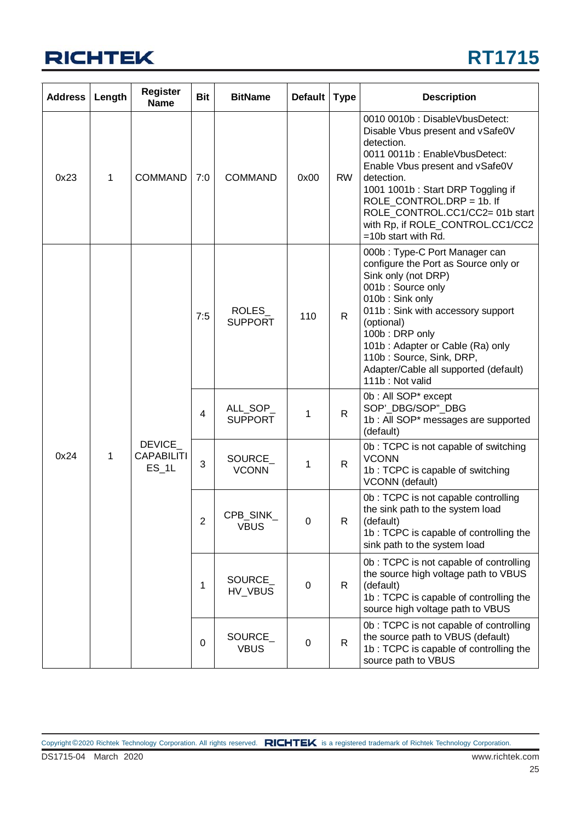

| <b>Address</b> | Length | <b>Register</b><br><b>Name</b>              | <b>Bit</b>               | <b>BitName</b>             | <b>Default</b> | <b>Type</b>                                                                                                                                                                                                                                                                                                                           | <b>Description</b>                                                                                                                                                                                                                                                                                                                   |
|----------------|--------|---------------------------------------------|--------------------------|----------------------------|----------------|---------------------------------------------------------------------------------------------------------------------------------------------------------------------------------------------------------------------------------------------------------------------------------------------------------------------------------------|--------------------------------------------------------------------------------------------------------------------------------------------------------------------------------------------------------------------------------------------------------------------------------------------------------------------------------------|
| 0x23           | 1      | <b>COMMAND</b>                              | 7:0                      | <b>COMMAND</b>             | 0x00           | <b>RW</b>                                                                                                                                                                                                                                                                                                                             | 0010 0010b: DisableVbusDetect:<br>Disable Vbus present and vSafe0V<br>detection.<br>0011 0011b: EnableVbusDetect:<br>Enable Vbus present and vSafe0V<br>detection.<br>1001 1001b: Start DRP Toggling if<br>ROLE_CONTROL.DRP = 1b. If<br>ROLE_CONTROL.CC1/CC2= 01b start<br>with Rp, if ROLE_CONTROL.CC1/CC2<br>$=10b$ start with Rd. |
|                |        | 7:5                                         | ROLES_<br><b>SUPPORT</b> | 110                        | $\mathsf{R}$   | 000b: Type-C Port Manager can<br>configure the Port as Source only or<br>Sink only (not DRP)<br>001b: Source only<br>010b: Sink only<br>011b: Sink with accessory support<br>(optional)<br>100b: DRP only<br>101b: Adapter or Cable (Ra) only<br>110b: Source, Sink, DRP,<br>Adapter/Cable all supported (default)<br>111b: Not valid |                                                                                                                                                                                                                                                                                                                                      |
|                |        | <b>DEVICE</b><br><b>CAPABILITI</b><br>ES 1L | 4                        | ALL_SOP_<br><b>SUPPORT</b> | 1              | R                                                                                                                                                                                                                                                                                                                                     | 0b: All SOP* except<br>SOP'_DBG/SOP"_DBG<br>1b : All SOP* messages are supported<br>(default)                                                                                                                                                                                                                                        |
| 0x24           | 1      |                                             | 3                        | SOURCE_<br><b>VCONN</b>    | 1              | $\mathsf{R}$                                                                                                                                                                                                                                                                                                                          | 0b: TCPC is not capable of switching<br><b>VCONN</b><br>1b: TCPC is capable of switching<br>VCONN (default)                                                                                                                                                                                                                          |
|                |        |                                             | 2                        | CPB SINK<br><b>VBUS</b>    | 0              | R                                                                                                                                                                                                                                                                                                                                     | 0b : TCPC is not capable controlling<br>the sink path to the system load<br>(default)<br>1b: TCPC is capable of controlling the<br>sink path to the system load                                                                                                                                                                      |
|                |        |                                             | 1                        | SOURCE_<br>HV_VBUS         | 0              | R                                                                                                                                                                                                                                                                                                                                     | 0b: TCPC is not capable of controlling<br>the source high voltage path to VBUS<br>(default)<br>1b: TCPC is capable of controlling the<br>source high voltage path to VBUS                                                                                                                                                            |
|                |        |                                             | $\pmb{0}$                | SOURCE_<br><b>VBUS</b>     | 0              | R                                                                                                                                                                                                                                                                                                                                     | 0b: TCPC is not capable of controlling<br>the source path to VBUS (default)<br>1b: TCPC is capable of controlling the<br>source path to VBUS                                                                                                                                                                                         |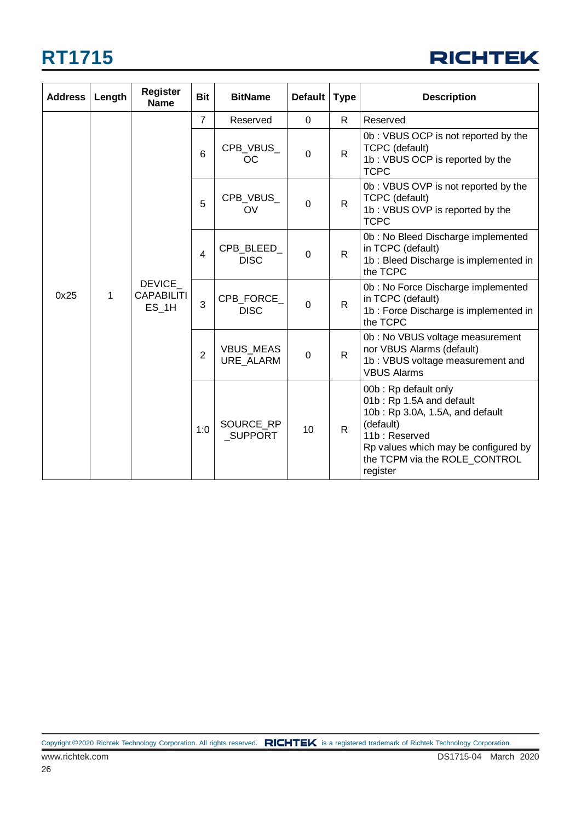

| <b>Address</b> | Length | <b>Register</b><br><b>Name</b>                | <b>Bit</b>     | <b>BitName</b>              | <b>Default</b>                       | <b>Type</b>  | <b>Description</b>                                                                                                                                                                                     |                                                                                                                        |
|----------------|--------|-----------------------------------------------|----------------|-----------------------------|--------------------------------------|--------------|--------------------------------------------------------------------------------------------------------------------------------------------------------------------------------------------------------|------------------------------------------------------------------------------------------------------------------------|
|                |        |                                               | $\overline{7}$ | Reserved                    | $\mathbf 0$                          | $\mathsf{R}$ | Reserved                                                                                                                                                                                               |                                                                                                                        |
|                |        | <b>DEVICE</b><br><b>CAPABILITI</b><br>$ES_1H$ | 6              | CPB_VBUS_<br><sub>OC</sub>  | $\mathbf 0$                          | $\mathsf{R}$ | 0b: VBUS OCP is not reported by the<br><b>TCPC</b> (default)<br>1b: VBUS OCP is reported by the<br><b>TCPC</b>                                                                                         |                                                                                                                        |
|                |        |                                               | 5              | CPB_VBUS_<br>OV             | $\Omega$                             | R.           | 0b: VBUS OVP is not reported by the<br><b>TCPC</b> (default)<br>1b: VBUS OVP is reported by the<br><b>TCPC</b>                                                                                         |                                                                                                                        |
|                |        |                                               |                | $\overline{4}$              | CPB_BLEED_<br><b>DISC</b>            | $\Omega$     | $\mathsf{R}$                                                                                                                                                                                           | 0b: No Bleed Discharge implemented<br>in TCPC (default)<br>1b: Bleed Discharge is implemented in<br>the TCPC           |
| 0x25           | 1      |                                               |                | 3                           | CPB_FORCE_<br><b>DISC</b>            | $\mathbf 0$  | $\mathsf{R}$                                                                                                                                                                                           | 0b: No Force Discharge implemented<br>in TCPC (default)<br>1b: Force Discharge is implemented in<br>the TCPC           |
|                |        |                                               |                | $\overline{2}$              | <b>VBUS_MEAS</b><br><b>URE ALARM</b> | $\mathbf 0$  | $\mathsf{R}$                                                                                                                                                                                           | 0b: No VBUS voltage measurement<br>nor VBUS Alarms (default)<br>1b: VBUS voltage measurement and<br><b>VBUS Alarms</b> |
|                |        |                                               | 1:0            | SOURCE_RP<br><b>SUPPORT</b> | 10                                   | $\mathsf{R}$ | 00b: Rp default only<br>01b: Rp 1.5A and default<br>10b: Rp 3.0A, 1.5A, and default<br>(default)<br>11b: Reserved<br>Rp values which may be configured by<br>the TCPM via the ROLE_CONTROL<br>register |                                                                                                                        |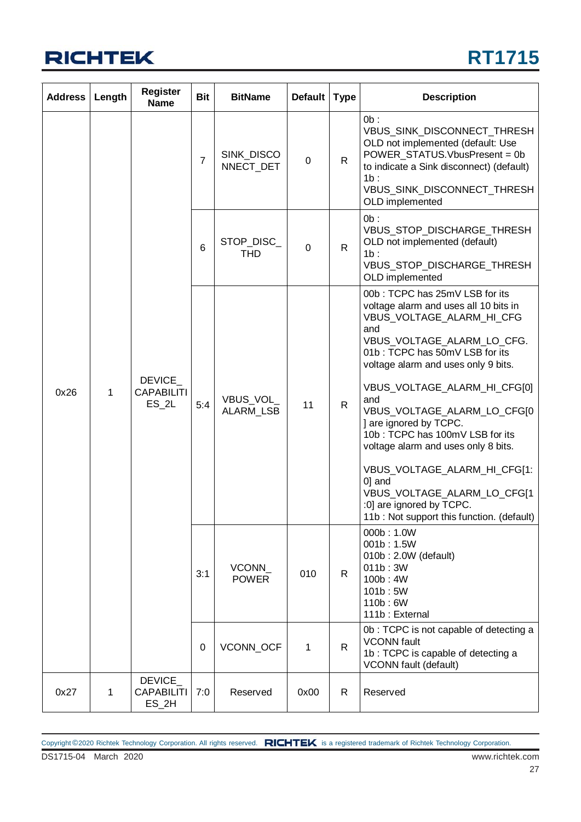

| <b>Address</b> | Length      | <b>Register</b><br><b>Name</b>                | <b>Bit</b>      | <b>BitName</b>           | Default   Type |                         | <b>Description</b>                                                                                                                                                                                                                                                                                                                                                                                                                                                                                                                              |              |                                                                                                                                                                                                                  |
|----------------|-------------|-----------------------------------------------|-----------------|--------------------------|----------------|-------------------------|-------------------------------------------------------------------------------------------------------------------------------------------------------------------------------------------------------------------------------------------------------------------------------------------------------------------------------------------------------------------------------------------------------------------------------------------------------------------------------------------------------------------------------------------------|--------------|------------------------------------------------------------------------------------------------------------------------------------------------------------------------------------------------------------------|
|                |             |                                               |                 |                          | $\overline{7}$ | SINK_DISCO<br>NNECT_DET | 0                                                                                                                                                                                                                                                                                                                                                                                                                                                                                                                                               | $\mathsf{R}$ | $0b$ :<br>VBUS_SINK_DISCONNECT_THRESH<br>OLD not implemented (default: Use<br>POWER_STATUS.VbusPresent = 0b<br>to indicate a Sink disconnect) (default)<br>1b:<br>VBUS_SINK_DISCONNECT_THRESH<br>OLD implemented |
|                |             |                                               | $6\phantom{1}6$ | STOP_DISC_<br><b>THD</b> | 0              | $\mathsf{R}$            | $0b$ :<br>VBUS_STOP_DISCHARGE_THRESH<br>OLD not implemented (default)<br>1b:<br>VBUS_STOP_DISCHARGE_THRESH<br>OLD implemented                                                                                                                                                                                                                                                                                                                                                                                                                   |              |                                                                                                                                                                                                                  |
| 0x26           | 1           | <b>DEVICE</b><br><b>CAPABILITI</b><br>$ES_2L$ | 5:4             | VBUS_VOL<br>ALARM_LSB    | 11             | $\mathsf{R}$            | 00b: TCPC has 25mV LSB for its<br>voltage alarm and uses all 10 bits in<br>VBUS_VOLTAGE_ALARM_HI_CFG<br>and<br>VBUS VOLTAGE ALARM LO CFG.<br>01b: TCPC has 50mV LSB for its<br>voltage alarm and uses only 9 bits.<br>VBUS_VOLTAGE_ALARM_HI_CFG[0]<br>and<br>VBUS_VOLTAGE_ALARM_LO_CFG[0<br>] are ignored by TCPC.<br>10b: TCPC has 100mV LSB for its<br>voltage alarm and uses only 8 bits.<br>VBUS_VOLTAGE_ALARM_HI_CFG[1:<br>0] and<br>VBUS_VOLTAGE_ALARM_LO_CFG[1<br>:0] are ignored by TCPC.<br>11b : Not support this function. (default) |              |                                                                                                                                                                                                                  |
|                |             |                                               | 3:1             | VCONN<br><b>POWER</b>    | 010            | $\mathsf{R}$            | 000b: 1.0W<br>001b: 1.5W<br>010b: 2.0W (default)<br>011b:3W<br>100b: 4W<br>101b:5W<br>110b: 6W<br>111b: External                                                                                                                                                                                                                                                                                                                                                                                                                                |              |                                                                                                                                                                                                                  |
|                |             |                                               | 0               | <b>VCONN OCF</b>         | 1              | $\mathsf{R}$            | 0b: TCPC is not capable of detecting a<br><b>VCONN</b> fault<br>1b: TCPC is capable of detecting a<br><b>VCONN</b> fault (default)                                                                                                                                                                                                                                                                                                                                                                                                              |              |                                                                                                                                                                                                                  |
| 0x27           | $\mathbf 1$ | <b>DEVICE</b><br><b>CAPABILITI</b><br>$ES_2H$ | 7:0             | Reserved                 | 0x00           | R                       | Reserved                                                                                                                                                                                                                                                                                                                                                                                                                                                                                                                                        |              |                                                                                                                                                                                                                  |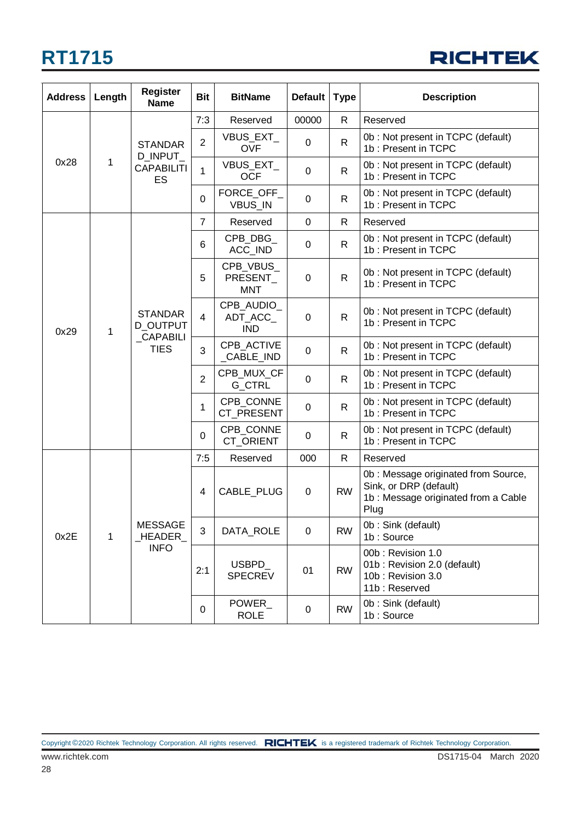| <b>RICHTEK</b> |  |  |
|----------------|--|--|
|                |  |  |

| <b>Address</b> | Length | <b>Register</b><br><b>Name</b>                                | <b>Bit</b>     | <b>BitName</b>                      | <b>Default</b> | <b>Type</b>  | <b>Description</b>                                                                                           |
|----------------|--------|---------------------------------------------------------------|----------------|-------------------------------------|----------------|--------------|--------------------------------------------------------------------------------------------------------------|
|                |        | <b>STANDAR</b>                                                | 7:3            | Reserved                            | 00000          | R.           | Reserved                                                                                                     |
|                |        |                                                               | $\overline{2}$ | <b>VBUS EXT</b><br><b>OVF</b>       | 0              | R            | 0b: Not present in TCPC (default)<br>1b: Present in TCPC                                                     |
| 0x28           | 1      | D_INPUT_<br><b>CAPABILITI</b><br>ES                           | 1              | VBUS_EXT_<br><b>OCF</b>             | 0              | $\mathsf{R}$ | 0b: Not present in TCPC (default)<br>1b: Present in TCPC                                                     |
|                |        |                                                               | 0              | FORCE_OFF_<br>VBUS_IN               | 0              | R.           | 0b: Not present in TCPC (default)<br>1b: Present in TCPC                                                     |
|                |        |                                                               | $\overline{7}$ | Reserved                            | $\mathbf 0$    | R.           | Reserved                                                                                                     |
|                |        |                                                               | 6              | CPB_DBG_<br>ACC_IND                 | 0              | $\mathsf{R}$ | 0b: Not present in TCPC (default)<br>1b: Present in TCPC                                                     |
|                |        |                                                               | 5              | CPB_VBUS_<br>PRESENT<br><b>MNT</b>  | 0              | $\mathsf{R}$ | 0b: Not present in TCPC (default)<br>1b: Present in TCPC                                                     |
| 0x29           | 1      | <b>STANDAR</b><br><b>D OUTPUT</b><br>_CAPABILI<br><b>TIES</b> | $\overline{4}$ | CPB AUDIO<br>ADT_ACC_<br><b>IND</b> | 0              | $\mathsf{R}$ | 0b: Not present in TCPC (default)<br>1b: Present in TCPC                                                     |
|                |        |                                                               | 3              | CPB ACTIVE<br>CABLE_IND             | 0              | R.           | 0b: Not present in TCPC (default)<br>1b: Present in TCPC                                                     |
|                |        |                                                               | $\overline{2}$ | CPB_MUX_CF<br><b>G_CTRL</b>         | 0              | R.           | 0b: Not present in TCPC (default)<br>1b: Present in TCPC                                                     |
|                |        |                                                               | 1              | CPB_CONNE<br>CT_PRESENT             | 0              | $\mathsf{R}$ | 0b: Not present in TCPC (default)<br>1b: Present in TCPC                                                     |
|                |        |                                                               | 0              | CPB_CONNE<br>CT_ORIENT              | 0              | R.           | 0b: Not present in TCPC (default)<br>1b: Present in TCPC                                                     |
|                |        |                                                               | 7:5            | Reserved                            | 000            | R.           | Reserved                                                                                                     |
| 0x2E           |        |                                                               | 4              | CABLE_PLUG                          | 0              | <b>RW</b>    | 0b: Message originated from Source,<br>Sink, or DRP (default)<br>1b: Message originated from a Cable<br>Plug |
|                | 1      | <b>MESSAGE</b><br>_HEADER_                                    | 3              | DATA_ROLE                           | 0              | <b>RW</b>    | 0b: Sink (default)<br>1b: Source                                                                             |
|                |        | <b>INFO</b>                                                   | 2:1            | USBPD_<br><b>SPECREV</b>            | 01             | <b>RW</b>    | 00b: Revision 1.0<br>01b: Revision 2.0 (default)<br>10b: Revision 3.0<br>11b: Reserved                       |
|                |        |                                                               | 0              | POWER<br><b>ROLE</b>                | 0              | <b>RW</b>    | 0b: Sink (default)<br>1b: Source                                                                             |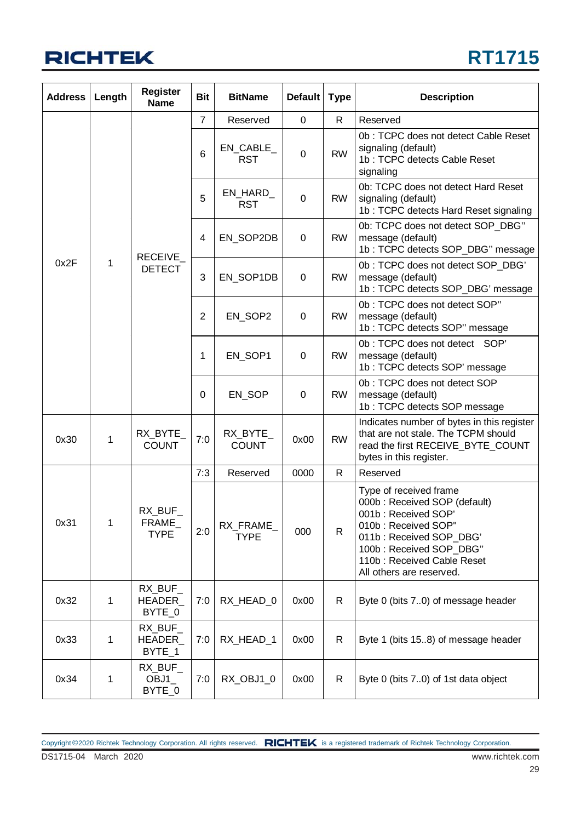

| <b>Address</b> | Length | <b>Register</b><br><b>Name</b>  | <b>Bit</b>      | <b>BitName</b>            | <b>Default</b> | <b>Type</b>  | <b>Description</b>                                                                                                                                                                                                   |
|----------------|--------|---------------------------------|-----------------|---------------------------|----------------|--------------|----------------------------------------------------------------------------------------------------------------------------------------------------------------------------------------------------------------------|
|                |        |                                 | $\overline{7}$  | Reserved                  | 0              | $\mathsf{R}$ | Reserved                                                                                                                                                                                                             |
|                |        |                                 | $6\phantom{1}6$ | $EN\_CABLE$<br><b>RST</b> | $\mathbf 0$    | <b>RW</b>    | 0b: TCPC does not detect Cable Reset<br>signaling (default)<br>1b: TCPC detects Cable Reset<br>signaling                                                                                                             |
|                |        |                                 | 5               | EN_HARD_<br><b>RST</b>    | $\mathbf 0$    | <b>RW</b>    | 0b: TCPC does not detect Hard Reset<br>signaling (default)<br>1b: TCPC detects Hard Reset signaling                                                                                                                  |
|                |        | RECEIVE_                        | 4               | EN_SOP2DB                 | $\mathbf 0$    | <b>RW</b>    | 0b: TCPC does not detect SOP DBG"<br>message (default)<br>1b: TCPC detects SOP_DBG" message                                                                                                                          |
| 0x2F           | 1      | <b>DETECT</b>                   | 3               | EN_SOP1DB                 | $\mathbf 0$    | <b>RW</b>    | 0b: TCPC does not detect SOP_DBG'<br>message (default)<br>1b: TCPC detects SOP_DBG' message                                                                                                                          |
|                |        |                                 | $\overline{2}$  | EN_SOP2                   | 0              | <b>RW</b>    | 0b: TCPC does not detect SOP"<br>message (default)<br>1b: TCPC detects SOP" message                                                                                                                                  |
|                |        |                                 | 1               | EN SOP1                   | 0              | <b>RW</b>    | 0b: TCPC does not detect SOP'<br>message (default)<br>1b: TCPC detects SOP' message                                                                                                                                  |
|                |        |                                 | 0               | EN_SOP                    | $\mathbf 0$    | <b>RW</b>    | 0b: TCPC does not detect SOP<br>message (default)<br>1b: TCPC detects SOP message                                                                                                                                    |
| 0x30           | 1      | RX_BYTE_<br><b>COUNT</b>        | 7:0             | RX_BYTE_<br><b>COUNT</b>  | 0x00           | <b>RW</b>    | Indicates number of bytes in this register<br>that are not stale. The TCPM should<br>read the first RECEIVE_BYTE_COUNT<br>bytes in this register.                                                                    |
|                |        |                                 | 7:3             | Reserved                  | 0000           | R            | Reserved                                                                                                                                                                                                             |
| 0x31           | 1      | RX_BUF_<br>FRAME<br><b>TYPE</b> | 2:0             | RX_FRAME_<br><b>TYPE</b>  | 000            | $\mathsf{R}$ | Type of received frame<br>000b: Received SOP (default)<br>001b: Received SOP'<br>010b: Received SOP"<br>011b: Received SOP_DBG'<br>100b: Received SOP_DBG"<br>110b: Received Cable Reset<br>All others are reserved. |
| 0x32           | 1      | RX_BUF_<br>HEADER_<br>BYTE_0    | 7:0             | RX_HEAD_0                 | 0x00           | R            | Byte 0 (bits 7.0) of message header                                                                                                                                                                                  |
| 0x33           | 1      | $RX$ _BUF_<br>HEADER_<br>BYTE_1 | 7:0             | RX_HEAD_1                 | 0x00           | R            | Byte 1 (bits 15.8) of message header                                                                                                                                                                                 |
| 0x34           | 1      | RX_BUF_<br>OBJ1<br>BYTE_0       | 7:0             | RX_OBJ1_0                 | 0x00           | R            | Byte 0 (bits 70) of 1st data object                                                                                                                                                                                  |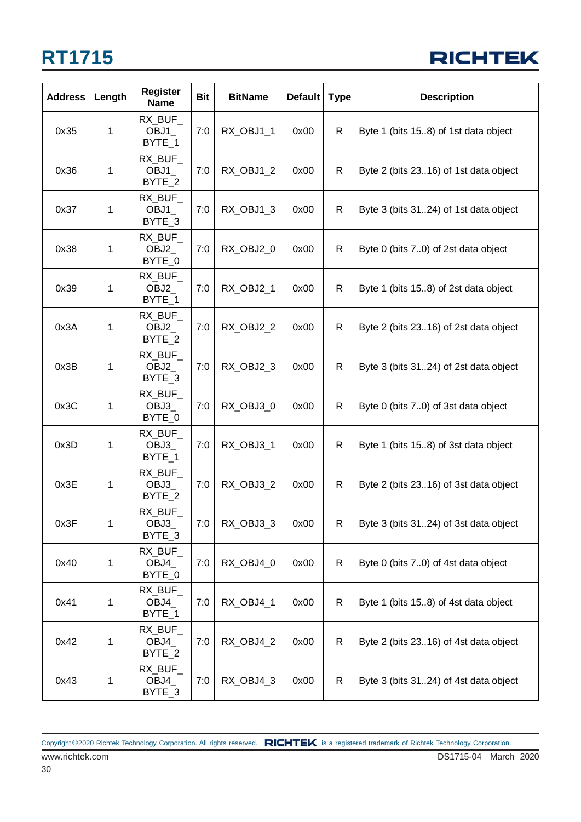

| <b>Address</b> | Length | <b>Register</b><br><b>Name</b> | <b>Bit</b> | <b>BitName</b> | <b>Default</b> | <b>Type</b>  | <b>Description</b>                    |
|----------------|--------|--------------------------------|------------|----------------|----------------|--------------|---------------------------------------|
| 0x35           | 1      | RX_BUF_<br>OBJ1<br>BYTE_1      | 7:0        | RX_OBJ1_1      | 0x00           | R            | Byte 1 (bits 15.8) of 1st data object |
| 0x36           | 1      | RX_BUF_<br>OBJ1<br>BYTE_2      | 7:0        | RX_OBJ1_2      | 0x00           | R            | Byte 2 (bits 2316) of 1st data object |
| 0x37           | 1      | RX_BUF_<br>OBJ1<br>BYTE_3      | 7:0        | RX_OBJ1_3      | 0x00           | R            | Byte 3 (bits 3124) of 1st data object |
| 0x38           | 1      | RX_BUF_<br>OBJ2_<br>BYTE_0     | 7:0        | RX_OBJ2_0      | 0x00           | R            | Byte 0 (bits 7.0) of 2st data object  |
| 0x39           | 1      | RX BUF<br>OBJ2<br>BYTE_1       | 7:0        | RX_OBJ2_1      | 0x00           | $\mathsf{R}$ | Byte 1 (bits 15.8) of 2st data object |
| 0x3A           | 1      | RX_BUF_<br>OBJ2<br>BYTE_2      | 7:0        | RX_OBJ2_2      | 0x00           | R            | Byte 2 (bits 2316) of 2st data object |
| 0x3B           | 1      | RX_BUF_<br>OBJ2<br>BYTE_3      | 7:0        | RX_OBJ2_3      | 0x00           | R            | Byte 3 (bits 3124) of 2st data object |
| 0x3C           | 1      | RX BUF<br>OBJ3<br>BYTE_0       | 7:0        | RX_OBJ3_0      | 0x00           | R            | Byte 0 (bits 7.0) of 3st data object  |
| 0x3D           | 1      | RX_BUF_<br>OBJ3_<br>BYTE_1     | 7:0        | RX_OBJ3_1      | 0x00           | R            | Byte 1 (bits 15.8) of 3st data object |
| 0x3E           | 1      | RX_BUF_<br>OBJ3_<br>BYTE_2     | 7:0        | RX_OBJ3_2      | 0x00           | $\mathsf{R}$ | Byte 2 (bits 2316) of 3st data object |
| 0x3F           | 1      | RX_BUF_<br>OBJ3_<br>BYTE_3     | 7:0        | RX_OBJ3_3      | 0x00           | R            | Byte 3 (bits 3124) of 3st data object |
| 0x40           | 1      | RX_BUF_<br>OBJ4_<br>BYTE_0     | 7:0        | RX_OBJ4_0      | 0x00           | R            | Byte 0 (bits 70) of 4st data object   |
| 0x41           | 1      | RX_BUF_<br>OBJ4<br>BYTE_1      | 7:0        | RX_OBJ4_1      | 0x00           | R            | Byte 1 (bits 15.8) of 4st data object |
| 0x42           | 1      | RX_BUF_<br>OBJ4_<br>BYTE_2     | 7:0        | RX_OBJ4_2      | 0x00           | R            | Byte 2 (bits 2316) of 4st data object |
| 0x43           | 1      | RX_BUF_<br>OBJ4_<br>BYTE_3     | 7:0        | RX_OBJ4_3      | 0x00           | $\mathsf{R}$ | Byte 3 (bits 3124) of 4st data object |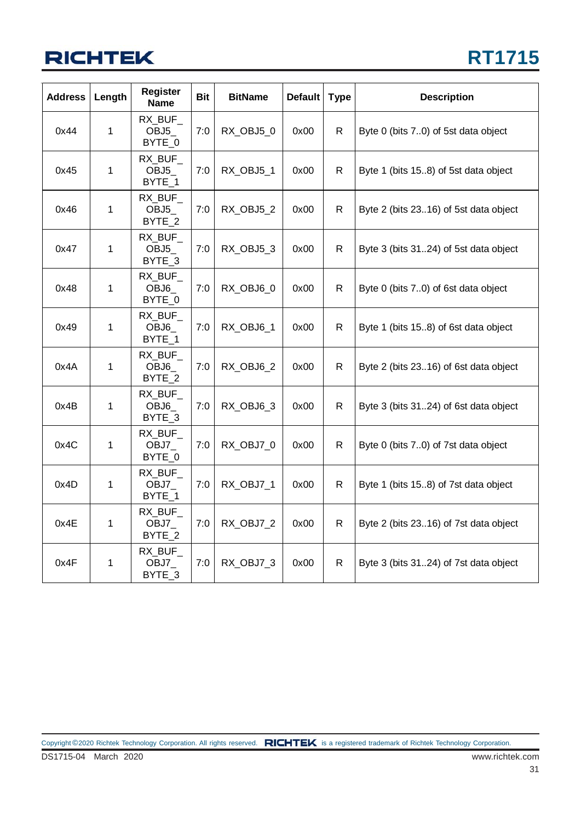## **RICHTEK**

| <b>Address</b> | Length      | <b>Register</b><br><b>Name</b>        | Bit | <b>BitName</b> | <b>Default</b> | <b>Type</b>  | <b>Description</b>                    |
|----------------|-------------|---------------------------------------|-----|----------------|----------------|--------------|---------------------------------------|
| 0x44           | 1           | RX BUF<br>OBJ5<br>BYTE_0              | 7:0 | RX_OBJ5_0      | 0x00           | R            | Byte 0 (bits 7.0) of 5st data object  |
| 0x45           | $\mathbf 1$ | RX BUF<br>OBJ5_<br>BYTE 1             | 7:0 | RX_OBJ5_1      | 0x00           | R.           | Byte 1 (bits 15.8) of 5st data object |
| 0x46           | 1           | RX_BUF_<br>OBJ <sub>5</sub><br>BYTE_2 | 7:0 | RX_OBJ5_2      | 0x00           | R            | Byte 2 (bits 2316) of 5st data object |
| 0x47           | 1           | RX_BUF_<br>OBJ5<br>BYTE 3             | 7:0 | RX_OBJ5_3      | 0x00           | R.           | Byte 3 (bits 3124) of 5st data object |
| 0x48           | $\mathbf 1$ | RX_BUF<br>OBJ6_<br>BYTE_0             | 7:0 | RX_OBJ6_0      | 0x00           | $\mathsf{R}$ | Byte 0 (bits 70) of 6st data object   |
| 0x49           | 1           | RX_BUF_<br>OBJ6<br>BYTE_1             | 7:0 | RX_OBJ6_1      | 0x00           | R.           | Byte 1 (bits 15.8) of 6st data object |
| 0x4A           | 1           | RX BUF<br>OBJ6<br>BYTE 2              | 7:0 | RX_OBJ6_2      | 0x00           | $\mathsf{R}$ | Byte 2 (bits 2316) of 6st data object |
| 0x4B           | 1           | RX_BUF_<br>OBJ6<br>BYTE_3             | 7:0 | RX_OBJ6_3      | 0x00           | R.           | Byte 3 (bits 3124) of 6st data object |
| 0x4C           | 1           | RX BUF<br>OBJ7_<br>BYTE_0             | 7:0 | RX_OBJ7_0      | 0x00           | R.           | Byte 0 (bits 70) of 7st data object   |
| 0x4D           | 1           | RX BUF<br>OBJ7<br>BYTE 1              | 7:0 | RX OBJ7 1      | 0x00           | R.           | Byte 1 (bits 15.8) of 7st data object |
| 0x4E           | 1           | RX_BUF_<br>OBJ7_<br>BYTE_2            | 7:0 | RX_OBJ7_2      | 0x00           | R.           | Byte 2 (bits 2316) of 7st data object |
| 0x4F           | 1           | RX BUF<br>OBJ7_<br>BYTE_3             | 7:0 | RX_OBJ7_3      | 0x00           | R.           | Byte 3 (bits 3124) of 7st data object |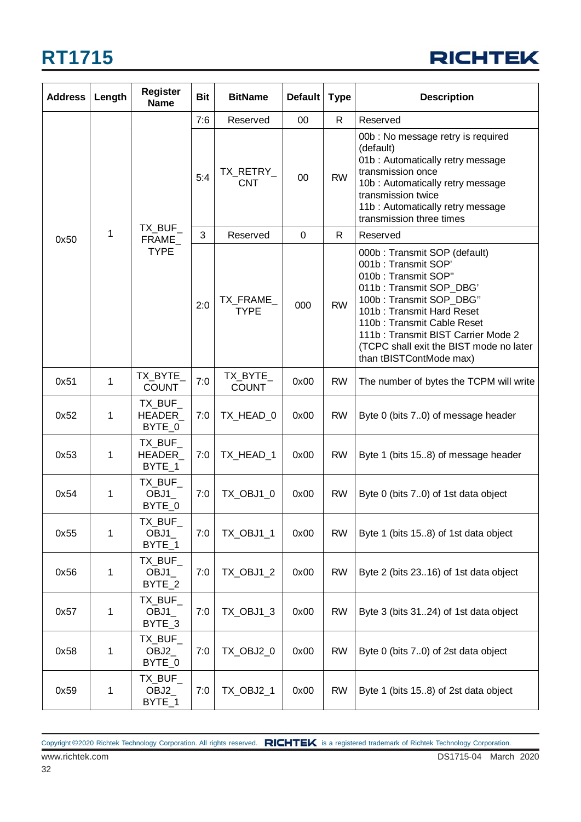

| <b>Address</b> | Length | <b>Register</b><br><b>Name</b> | <b>Bit</b> | <b>BitName</b>           | <b>Default</b> | <b>Type</b>  | <b>Description</b>                                                                                                                                                                                                                                                                                      |
|----------------|--------|--------------------------------|------------|--------------------------|----------------|--------------|---------------------------------------------------------------------------------------------------------------------------------------------------------------------------------------------------------------------------------------------------------------------------------------------------------|
|                |        |                                | 7:6        | Reserved                 | $00\,$         | R            | Reserved                                                                                                                                                                                                                                                                                                |
|                |        |                                | 5:4        | TX_RETRY_<br><b>CNT</b>  | 00             | <b>RW</b>    | 00b : No message retry is required<br>(default)<br>01b: Automatically retry message<br>transmission once<br>10b: Automatically retry message<br>transmission twice<br>11b: Automatically retry message<br>transmission three times                                                                      |
| 0x50           | 1      | $TX$ _BUF_<br>FRAME            | 3          | Reserved                 | $\overline{0}$ | $\mathsf{R}$ | Reserved                                                                                                                                                                                                                                                                                                |
|                |        | <b>TYPE</b>                    | 2:0        | TX_FRAME_<br><b>TYPE</b> | 000            | <b>RW</b>    | 000b: Transmit SOP (default)<br>001b: Transmit SOP'<br>010b: Transmit SOP"<br>011b: Transmit SOP_DBG'<br>100b: Transmit SOP_DBG"<br>101b: Transmit Hard Reset<br>110b: Transmit Cable Reset<br>111b: Transmit BIST Carrier Mode 2<br>(TCPC shall exit the BIST mode no later<br>than tBISTContMode max) |
| 0x51           | 1      | TX_BYTE_<br><b>COUNT</b>       | 7:0        | TX_BYTE_<br><b>COUNT</b> | 0x00           | <b>RW</b>    | The number of bytes the TCPM will write                                                                                                                                                                                                                                                                 |
| 0x52           | 1      | TX_BUF_<br>HEADER_<br>BYTE_0   | 7:0        | TX_HEAD_0                | 0x00           | <b>RW</b>    | Byte 0 (bits 7.0) of message header                                                                                                                                                                                                                                                                     |
| 0x53           | 1      | TX_BUF_<br>HEADER<br>BYTE_1    | 7:0        | TX_HEAD_1                | 0x00           | <b>RW</b>    | Byte 1 (bits 15.8) of message header                                                                                                                                                                                                                                                                    |
| 0x54           | 1      | TX_BUF_<br>OBJ1<br>BYTE_0      | 7:0        | TX_OBJ1_0                | 0x00           | <b>RW</b>    | Byte 0 (bits 70) of 1st data object                                                                                                                                                                                                                                                                     |
| 0x55           | 1      | TX_BUF_<br>OBJ1<br>BYTE_1      | 7:0        | TX_OBJ1_1                | 0x00           | <b>RW</b>    | Byte 1 (bits 15.8) of 1st data object                                                                                                                                                                                                                                                                   |
| 0x56           | 1      | TX_BUF_<br>OBJ1_<br>BYTE_2     | 7:0        | TX_OBJ1_2                | 0x00           | <b>RW</b>    | Byte 2 (bits 2316) of 1st data object                                                                                                                                                                                                                                                                   |
| 0x57           | 1      | TX_BUF_<br>OBJ1<br>BYTE_3      | 7:0        | TX OBJ1 3                | 0x00           | <b>RW</b>    | Byte 3 (bits 3124) of 1st data object                                                                                                                                                                                                                                                                   |
| 0x58           | 1      | TX_BUF_<br>OBJ2_<br>BYTE_0     | 7:0        | TX_OBJ2_0                | 0x00           | <b>RW</b>    | Byte 0 (bits 70) of 2st data object                                                                                                                                                                                                                                                                     |
| 0x59           | 1      | TX_BUF_<br>OBJ2_<br>BYTE_1     | 7:0        | TX_OBJ2_1                | 0x00           | <b>RW</b>    | Byte 1 (bits 15.8) of 2st data object                                                                                                                                                                                                                                                                   |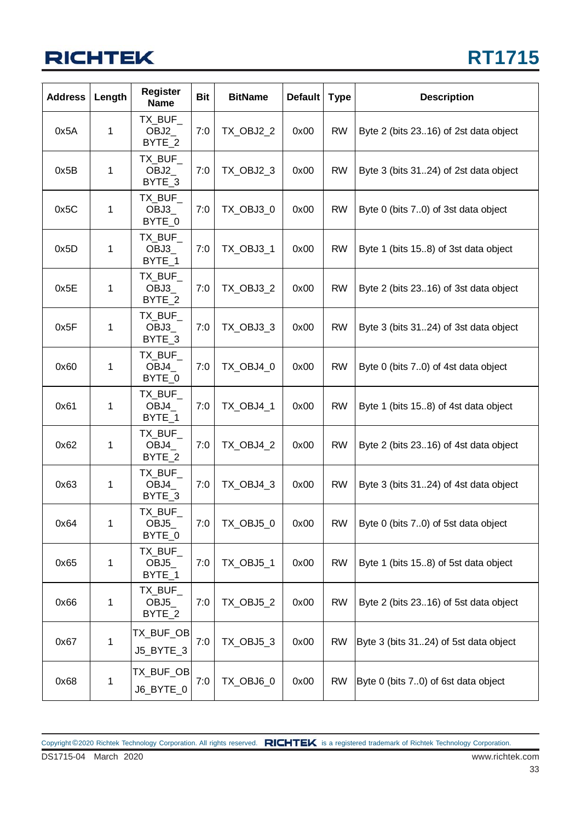## **RICHTEK**

| <b>Address</b> | Length | <b>Register</b><br><b>Name</b>        | <b>Bit</b> | <b>BitName</b>   | <b>Default</b> | <b>Type</b> | <b>Description</b>                    |
|----------------|--------|---------------------------------------|------------|------------------|----------------|-------------|---------------------------------------|
| 0x5A           | 1      | TX_BUF_<br>OBJ2<br>BYTE 2             | 7:0        | TX_OBJ2_2        | 0x00           | <b>RW</b>   | Byte 2 (bits 2316) of 2st data object |
| 0x5B           | 1      | TX_BUF_<br>OBJ2<br>BYTE_3             | 7:0        | TX_OBJ2_3        | 0x00           | <b>RW</b>   | Byte 3 (bits 3124) of 2st data object |
| 0x5C           | 1      | TX_BUF_<br>OBJ3_<br>BYTE_0            | 7:0        | TX_OBJ3_0        | 0x00           | <b>RW</b>   | Byte 0 (bits 7.0) of 3st data object  |
| 0x5D           | 1      | TX_BUF_<br>OBJ3_<br>BYTE_1            | 7:0        | TX_OBJ3_1        | 0x00           | <b>RW</b>   | Byte 1 (bits 15.8) of 3st data object |
| 0x5E           | 1      | TX BUF<br>OBJ3<br>BYTE_2              | 7:0        | <b>TX_OBJ3_2</b> | 0x00           | <b>RW</b>   | Byte 2 (bits 2316) of 3st data object |
| 0x5F           | 1      | TX BUF<br>OBJ3<br>BYTE_3              | 7:0        | TX_OBJ3_3        | 0x00           | <b>RW</b>   | Byte 3 (bits 3124) of 3st data object |
| 0x60           | 1      | TX_BUF_<br>OBJ4<br>BYTE_0             | 7:0        | TX_OBJ4_0        | 0x00           | <b>RW</b>   | Byte 0 (bits 7.0) of 4st data object  |
| 0x61           | 1      | TX BUF<br>OBJ4<br>BYTE_1              | 7:0        | TX_OBJ4_1        | 0x00           | <b>RW</b>   | Byte 1 (bits 15.8) of 4st data object |
| 0x62           | 1      | TX_BUF_<br>OBJ4_<br>BYTE_2            | 7:0        | TX_OBJ4_2        | 0x00           | <b>RW</b>   | Byte 2 (bits 2316) of 4st data object |
| 0x63           | 1      | TX_BUF_<br>OBJ4<br>BYTE_3             | 7:0        | TX_OBJ4_3        | 0x00           | <b>RW</b>   | Byte 3 (bits 3124) of 4st data object |
| 0x64           | 1      | TX_BUF_<br>OBJ5_<br>BYTE_0            | 7:0        | TX_OBJ5_0        | 0x00           | <b>RW</b>   | Byte 0 (bits 70) of 5st data object   |
| 0x65           | 1      | TX_BUF_<br>OBJ <sub>5</sub><br>BYTE_1 | 7:0        | TX_OBJ5_1        | 0x00           | <b>RW</b>   | Byte 1 (bits 15.8) of 5st data object |
| 0x66           | 1      | TX_BUF_<br>OBJ <sub>5</sub><br>BYTE_2 | 7:0        | <b>TX_OBJ5_2</b> | 0x00           | <b>RW</b>   | Byte 2 (bits 2316) of 5st data object |
| 0x67           | 1      | TX_BUF_OB <br>J5_BYTE_3               | 7:0        | TX_OBJ5_3        | 0x00           | <b>RW</b>   | Byte 3 (bits 3124) of 5st data object |
| 0x68           | 1      | TX_BUF_OB <br>J6_BYTE_0               | 7:0        | TX_OBJ6_0        | 0x00           | <b>RW</b>   | Byte 0 (bits 70) of 6st data object   |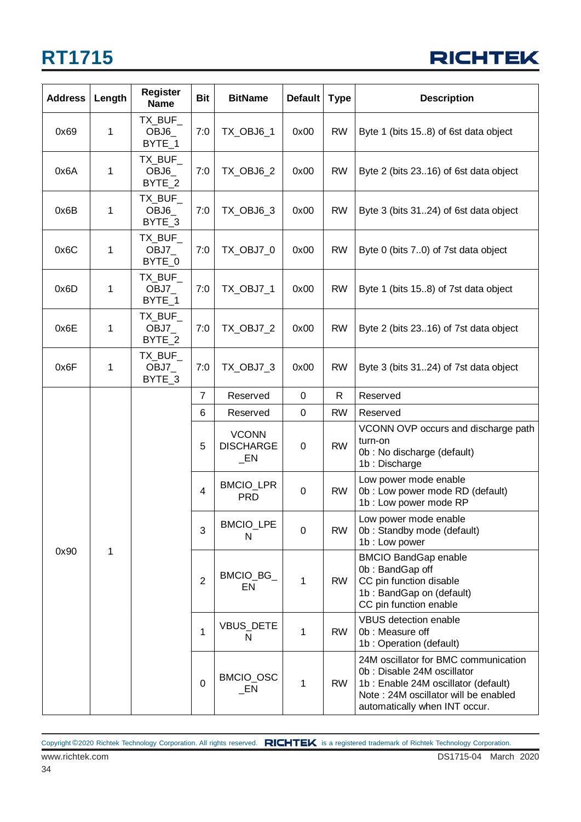

| <b>Address</b> | Length | <b>Register</b><br><b>Name</b> | <b>Bit</b>     | <b>BitName</b>                             | <b>Default</b>   | <b>Type</b> | <b>Description</b>                                                                                                                                                                 |
|----------------|--------|--------------------------------|----------------|--------------------------------------------|------------------|-------------|------------------------------------------------------------------------------------------------------------------------------------------------------------------------------------|
| 0x69           | 1      | TX BUF<br>OBJ6<br>BYTE_1       | 7:0            | TX_OBJ6_1                                  | 0x00             | <b>RW</b>   | Byte 1 (bits 15.8) of 6st data object                                                                                                                                              |
| 0x6A           | 1      | TX_BUF_<br>OBJ6<br>BYTE_2      | 7:0            | TX_OBJ6_2                                  | 0x00             | <b>RW</b>   | Byte 2 (bits 2316) of 6st data object                                                                                                                                              |
| 0x6B           | 1      | TX_BUF_<br>OBJ6<br>BYTE_3      | 7:0            | TX_OBJ6_3                                  | 0x00             | <b>RW</b>   | Byte 3 (bits 3124) of 6st data object                                                                                                                                              |
| 0x6C           | 1      | TX_BUF_<br>OBJ7<br>BYTE_0      | 7:0            | TX_OBJ7_0                                  | 0x00             | <b>RW</b>   | Byte 0 (bits 7.0) of 7st data object                                                                                                                                               |
| 0x6D           | 1      | TX_BUF_<br>OBJ7<br>BYTE_1      | 7:0            | TX_OBJ7_1                                  | 0x00             | <b>RW</b>   | Byte 1 (bits 15.8) of 7st data object                                                                                                                                              |
| 0x6E           | 1      | TX_BUF_<br>OBJ7<br>BYTE_2      | 7:0            | TX_OBJ7_2                                  | 0x00             | <b>RW</b>   | Byte 2 (bits 2316) of 7st data object                                                                                                                                              |
| 0x6F           | 1      | TX_BUF_<br>OBJ7<br>BYTE_3      | 7:0            | TX_OBJ7_3                                  | 0x00             | <b>RW</b>   | Byte 3 (bits 3124) of 7st data object                                                                                                                                              |
|                |        |                                | 7              | Reserved                                   | $\boldsymbol{0}$ | R           | Reserved                                                                                                                                                                           |
|                |        |                                | 6              | Reserved                                   | $\mathbf 0$      | <b>RW</b>   | Reserved                                                                                                                                                                           |
|                |        |                                | 5              | <b>VCONN</b><br><b>DISCHARGE</b><br>$\_EN$ | $\boldsymbol{0}$ | <b>RW</b>   | VCONN OVP occurs and discharge path<br>turn-on<br>0b : No discharge (default)<br>1b: Discharge                                                                                     |
|                |        |                                | 4              | <b>BMCIO_LPR</b><br><b>PRD</b>             | $\boldsymbol{0}$ | <b>RW</b>   | Low power mode enable<br>0b : Low power mode RD (default)<br>1b : Low power mode RP                                                                                                |
|                |        |                                | 3              | <b>BMCIO_LPE</b><br>N                      | $\mathbf 0$      | <b>RW</b>   | Low power mode enable<br>0b: Standby mode (default)<br>1b: Low power                                                                                                               |
| 0x90           | 1      |                                | $\overline{2}$ | BMCIO_BG_<br>EN                            | $\mathbf{1}$     | <b>RW</b>   | <b>BMCIO BandGap enable</b><br>0b: BandGap off<br>CC pin function disable<br>1b: BandGap on (default)<br>CC pin function enable                                                    |
|                |        |                                | 1              | VBUS_DETE<br>N                             | 1                | <b>RW</b>   | <b>VBUS detection enable</b><br>0b: Measure off<br>1b: Operation (default)                                                                                                         |
|                |        |                                | $\mathbf 0$    | BMCIO_OSC<br>$\_EN$                        | 1                | <b>RW</b>   | 24M oscillator for BMC communication<br>0b: Disable 24M oscillator<br>1b: Enable 24M oscillator (default)<br>Note: 24M oscillator will be enabled<br>automatically when INT occur. |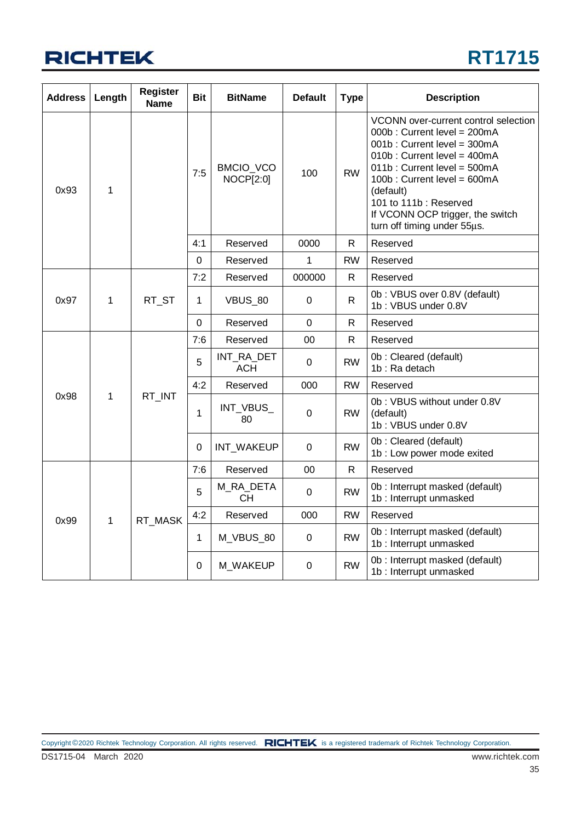

| <b>Address</b> | Length       | <b>Register</b><br><b>Name</b> | <b>Bit</b>     | <b>BitName</b>                | <b>Default</b> | <b>Type</b>  | <b>Description</b>                                                                                                                                                                                                                                                                                       |
|----------------|--------------|--------------------------------|----------------|-------------------------------|----------------|--------------|----------------------------------------------------------------------------------------------------------------------------------------------------------------------------------------------------------------------------------------------------------------------------------------------------------|
| 0x93           | 1            |                                | 7:5            | BMCIO_VCO<br><b>NOCP[2:0]</b> | 100            | <b>RW</b>    | VCONN over-current control selection<br>000b: Current level = 200mA<br>001b: Current level = 300mA<br>010b: Current level = 400mA<br>011b: Current level = 500mA<br>100b: Current level = 600mA<br>(default)<br>101 to 111b: Reserved<br>If VCONN OCP trigger, the switch<br>turn off timing under 55µs. |
|                |              |                                | 4:1            | Reserved                      | 0000           | R.           | Reserved                                                                                                                                                                                                                                                                                                 |
|                |              |                                | $\mathbf 0$    | Reserved                      | 1              | <b>RW</b>    | Reserved                                                                                                                                                                                                                                                                                                 |
|                |              |                                | 7:2            | Reserved                      | 000000         | R.           | Reserved                                                                                                                                                                                                                                                                                                 |
| 0x97           | 1            | RT_ST                          | 1              | VBUS_80                       | 0              | $\mathsf{R}$ | 0b: VBUS over 0.8V (default)<br>1b: VBUS under 0.8V                                                                                                                                                                                                                                                      |
|                |              |                                | $\overline{0}$ | Reserved                      | $\overline{0}$ | R            | Reserved                                                                                                                                                                                                                                                                                                 |
|                |              | RT_INT                         | 7:6            | Reserved                      | 00             | $\mathsf{R}$ | Reserved                                                                                                                                                                                                                                                                                                 |
|                | $\mathbf{1}$ |                                | 5              | INT RA DET<br><b>ACH</b>      | $\mathbf 0$    | <b>RW</b>    | 0b: Cleared (default)<br>1b: Ra detach                                                                                                                                                                                                                                                                   |
|                |              |                                | 4:2            | Reserved                      | 000            | <b>RW</b>    | Reserved                                                                                                                                                                                                                                                                                                 |
| 0x98           |              |                                | 1              | INT_VBUS_<br>80               | 0              | <b>RW</b>    | 0b: VBUS without under 0.8V<br>(default)<br>1b: VBUS under 0.8V                                                                                                                                                                                                                                          |
|                |              |                                | 0              | INT_WAKEUP                    | 0              | <b>RW</b>    | 0b: Cleared (default)<br>1b : Low power mode exited                                                                                                                                                                                                                                                      |
|                |              |                                | 7:6            | Reserved                      | 00             | $\mathsf{R}$ | Reserved                                                                                                                                                                                                                                                                                                 |
|                |              |                                | 5              | M_RA_DETA<br><b>CH</b>        | $\mathbf 0$    | <b>RW</b>    | 0b : Interrupt masked (default)<br>1b : Interrupt unmasked                                                                                                                                                                                                                                               |
| 0x99           | 1            | RT MASK                        | 4:2            | Reserved                      | 000            | <b>RW</b>    | Reserved                                                                                                                                                                                                                                                                                                 |
|                |              |                                | 1              | M_VBUS_80                     | 0              | <b>RW</b>    | 0b : Interrupt masked (default)<br>1b : Interrupt unmasked                                                                                                                                                                                                                                               |
|                |              |                                | $\Omega$       | M_WAKEUP                      | 0              | <b>RW</b>    | 0b: Interrupt masked (default)<br>1b: Interrupt unmasked                                                                                                                                                                                                                                                 |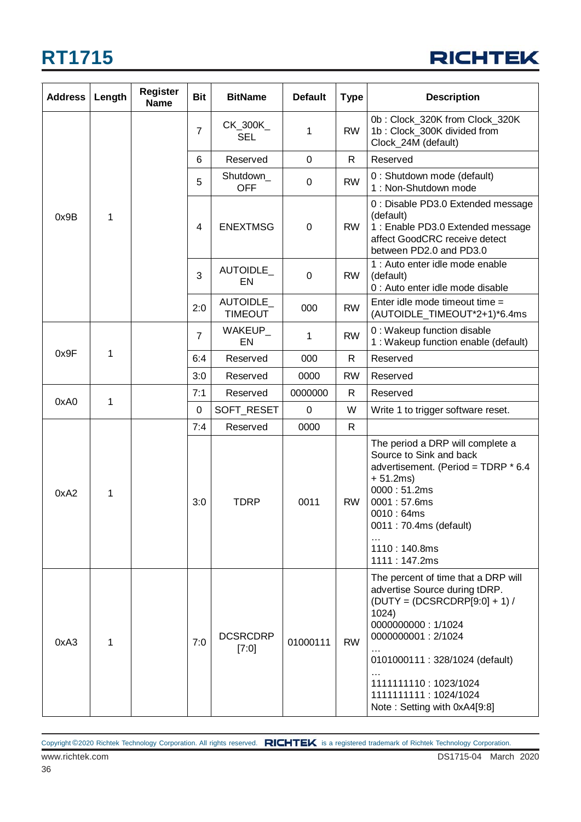

| <b>Address</b> | Length | <b>Register</b><br><b>Name</b> | <b>Bit</b>     | <b>BitName</b>             | <b>Default</b> | Type         | <b>Description</b>                                                                                                                                                                                                                                                              |
|----------------|--------|--------------------------------|----------------|----------------------------|----------------|--------------|---------------------------------------------------------------------------------------------------------------------------------------------------------------------------------------------------------------------------------------------------------------------------------|
|                |        |                                | $\overline{7}$ | CK_300K_<br><b>SEL</b>     | 1              | <b>RW</b>    | 0b: Clock_320K from Clock_320K<br>1b: Clock_300K divided from<br>Clock_24M (default)                                                                                                                                                                                            |
|                |        | 6                              | Reserved       | 0                          | $\mathsf{R}$   | Reserved     |                                                                                                                                                                                                                                                                                 |
|                |        |                                | 5              | Shutdown_<br><b>OFF</b>    | 0              | <b>RW</b>    | 0 : Shutdown mode (default)<br>1: Non-Shutdown mode                                                                                                                                                                                                                             |
| 0x9B           | 1      |                                | $\overline{4}$ | <b>ENEXTMSG</b>            | $\mathbf 0$    | <b>RW</b>    | 0 : Disable PD3.0 Extended message<br>(default)<br>1 : Enable PD3.0 Extended message<br>affect GoodCRC receive detect<br>between PD2.0 and PD3.0                                                                                                                                |
|                |        |                                | 3              | AUTOIDLE_<br>EN            | 0              | <b>RW</b>    | 1 : Auto enter idle mode enable<br>(default)<br>0 : Auto enter idle mode disable                                                                                                                                                                                                |
|                |        |                                | 2:0            | AUTOIDLE<br><b>TIMEOUT</b> | 000            | <b>RW</b>    | Enter idle mode timeout time =<br>(AUTOIDLE_TIMEOUT*2+1)*6.4ms                                                                                                                                                                                                                  |
|                |        |                                | $\overline{7}$ | WAKEUP_<br>EN              | 1              | <b>RW</b>    | 0 : Wakeup function disable<br>1 : Wakeup function enable (default)                                                                                                                                                                                                             |
| 0x9F           | 1      |                                | 6:4            | Reserved                   | 000            | R            | Reserved                                                                                                                                                                                                                                                                        |
|                |        |                                | 3:0            | Reserved                   | 0000           | <b>RW</b>    | Reserved                                                                                                                                                                                                                                                                        |
| 0xA0           | 1      |                                | 7:1            | Reserved                   | 0000000        | $\mathsf{R}$ | Reserved                                                                                                                                                                                                                                                                        |
|                |        |                                | 0              | SOFT_RESET                 | 0              | W            | Write 1 to trigger software reset.                                                                                                                                                                                                                                              |
|                |        |                                | 7:4            | Reserved                   | 0000           | $\mathsf{R}$ |                                                                                                                                                                                                                                                                                 |
| 0xA2           | 1      |                                | 3:0            | TDRP                       | 0011           | <b>RW</b>    | The period a DRP will complete a<br>Source to Sink and back<br>advertisement. (Period = TDRP * 6.4<br>$+ 51.2ms)$<br>0000:51.2ms<br>0001:57.6ms<br>0010:64ms<br>0011 : 70.4ms (default)<br>1110:140.8ms<br>1111:147.2ms                                                         |
| 0xA3           | 1      |                                | 7:0            | <b>DCSRCDRP</b><br>[7:0]   | 01000111       | <b>RW</b>    | The percent of time that a DRP will<br>advertise Source during tDRP.<br>$(DUTY = (DCSRCDRP[9:0] + 1)$<br>1024)<br>0000000000: 1/1024<br>0000000001: 2/1024<br>0101000111: 328/1024 (default)<br>1111111110: 1023/1024<br>1111111111 : 1024/1024<br>Note: Setting with 0xA4[9:8] |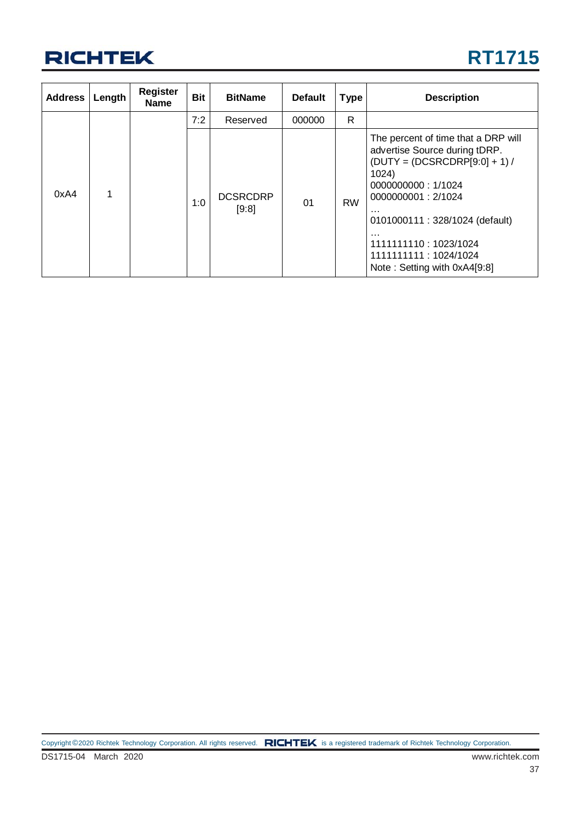

| <b>Address</b> | Length | <b>Register</b><br><b>Name</b> | <b>Bit</b> | <b>BitName</b>           | <b>Default</b> | <b>Type</b> | <b>Description</b>                                                                                                                                                                                                                                                                               |
|----------------|--------|--------------------------------|------------|--------------------------|----------------|-------------|--------------------------------------------------------------------------------------------------------------------------------------------------------------------------------------------------------------------------------------------------------------------------------------------------|
|                |        |                                | 7:2        | Reserved                 | 000000         | R           |                                                                                                                                                                                                                                                                                                  |
| 0xA4           |        |                                | 1:0        | <b>DCSRCDRP</b><br>[9:8] | 01             | <b>RW</b>   | The percent of time that a DRP will<br>advertise Source during tDRP.<br>$(DUTY = (DCSRCDRP[9:0] + 1)$<br>1024)<br>0000000000: 1/1024<br>0000000001: 2/1024<br>$\cdots$<br>0101000111: 328/1024 (default)<br>.<br>1111111110: 1023/1024<br>1111111111 : 1024/1024<br>Note: Setting with 0xA4[9:8] |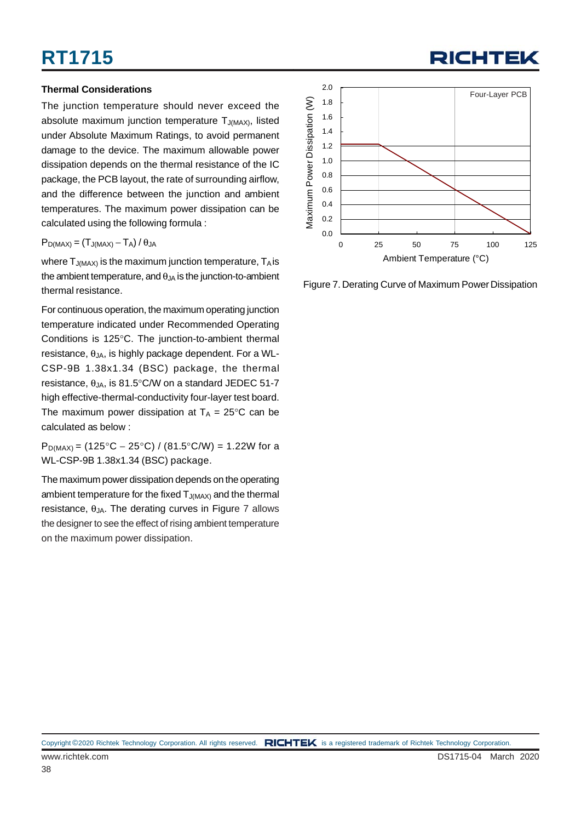#### **Thermal Considerations**

The junction temperature should never exceed the absolute maximum junction temperature  $T_{J(MAX)}$ , listed under Absolute Maximum Ratings, to avoid permanent damage to the device. The maximum allowable power dissipation depends on the thermal resistance of the IC package, the PCB layout, the rate of surrounding airflow, and the difference between the junction and ambient temperatures. The maximum power dissipation can be calculated using the following formula :

 $P_{D(MAX)} = (T_{J(MAX)} - T_A)/\theta_{JA}$ 

where  $T_{J(MAX)}$  is the maximum junction temperature,  $T_A$  is the ambient temperature, and  $\theta_{JA}$  is the junction-to-ambient thermal resistance.

For continuous operation, the maximum operating junction temperature indicated under Recommended Operating Conditions is 125°C. The junction-to-ambient thermal resistance,  $θ_{JA}$ , is highly package dependent. For a WL-CSP-9B 1.38x1.34 (BSC) package, the thermal resistance,  $\theta_{JA}$ , is 81.5°C/W on a standard JEDEC 51-7 high effective-thermal-conductivity four-layer test board. The maximum power dissipation at  $T_A = 25^{\circ}$ C can be calculated as below :

 $P_{D(MAX)} = (125\degree C - 25\degree C) / (81.5\degree C/W) = 1.22W$  for a WL-CSP-9B 1.38x1.34 (BSC) package.

The maximum power dissipation depends on the operating ambient temperature for the fixed  $T_{J(MAX)}$  and the thermal resistance,  $\theta_{JA}$ . The derating curves in Figure 7 allows the designer to see the effect of rising ambient temperature on the maximum power dissipation.



Figure 7. Derating Curve of Maximum Power Dissipation

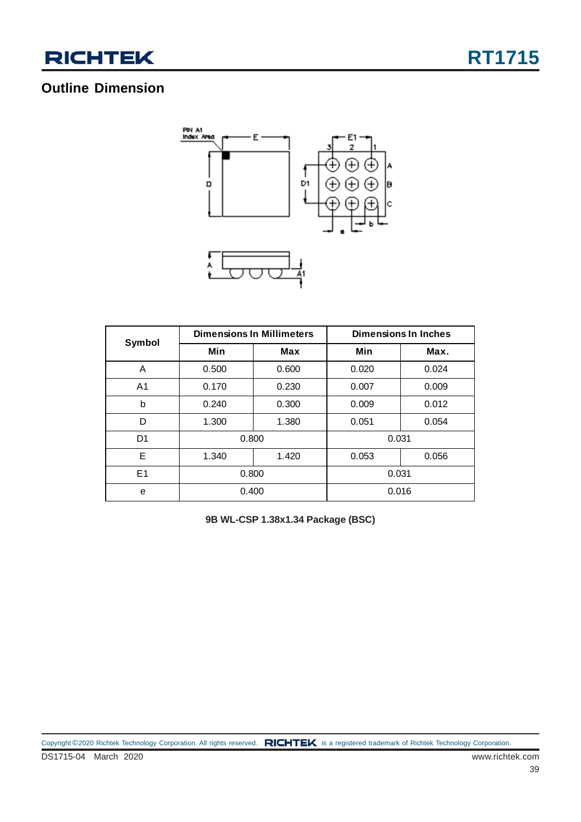

### **Outline Dimension**



| Symbol         |       | <b>Dimensions In Millimeters</b> | <b>Dimensions In Inches</b> |       |  |  |
|----------------|-------|----------------------------------|-----------------------------|-------|--|--|
|                | Min   | <b>Max</b>                       | Min                         | Max.  |  |  |
| A              | 0.500 | 0.600                            | 0.020                       | 0.024 |  |  |
| A <sub>1</sub> | 0.170 | 0.230<br>0.007                   |                             | 0.009 |  |  |
| b              | 0.240 | 0.300                            | 0.009                       | 0.012 |  |  |
| D              | 1.300 | 1.380                            | 0.051                       | 0.054 |  |  |
| D <sub>1</sub> | 0.800 |                                  | 0.031                       |       |  |  |
| E              | 1.340 | 1.420                            | 0.053                       | 0.056 |  |  |
| E1             | 0.800 |                                  | 0.031                       |       |  |  |
| e              | 0.400 |                                  | 0.016                       |       |  |  |

**9B WL-CSP 1.38x1.34 Package (BSC)**